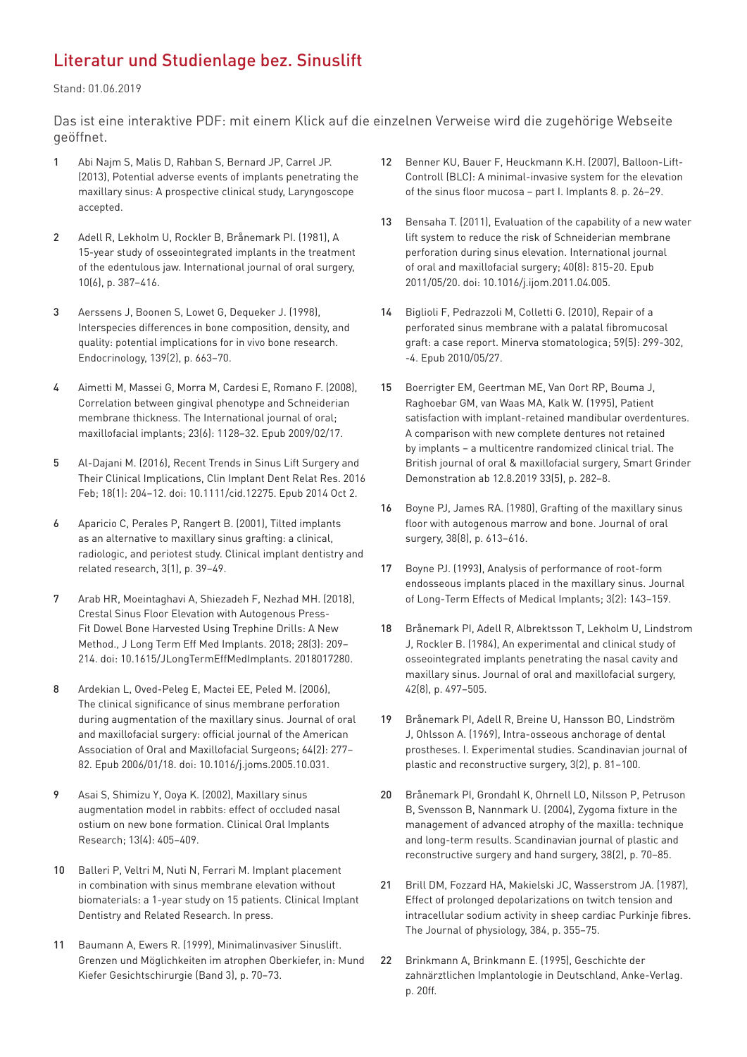## Literatur und Studienlage bez. Sinuslift

Stand: 01.06.2019

Das ist eine interaktive PDF: mit einem Klick auf die einzelnen Verweise wird die zugehörige Webseite geöffnet.

- 1 [Abi Najm S, Malis D, Rahban S, Bernard JP, Carrel JP.](https://www.ncbi.nlm.nih.gov/pubmed/23649881)  [\(2013\), Potential adverse events of implants penetrating the](https://www.ncbi.nlm.nih.gov/pubmed/23649881)  [maxillary sinus: A prospective clinical study, Laryngoscope](https://www.ncbi.nlm.nih.gov/pubmed/23649881)  [accepted.](https://www.ncbi.nlm.nih.gov/pubmed/23649881)
- 2 [Adell R, Lekholm U, Rockler B, Brånemark PI. \(1981\), A](https://www.ncbi.nlm.nih.gov/pubmed/6809663)  [15-year study of osseointegrated implants in the treatment](https://www.ncbi.nlm.nih.gov/pubmed/6809663)  [of the edentulous jaw. International journal of oral surgery,](https://www.ncbi.nlm.nih.gov/pubmed/6809663)  [10\(6\), p. 387–416.](https://www.ncbi.nlm.nih.gov/pubmed/6809663)
- 3 [Aerssens J, Boonen S, Lowet G, Dequeker J. \(1998\),](https://www.ncbi.nlm.nih.gov/pubmed/9449639)  [Interspecies differences in bone composition, density, and](https://www.ncbi.nlm.nih.gov/pubmed/9449639)  [quality: potential implications for in vivo bone research.](https://www.ncbi.nlm.nih.gov/pubmed/9449639)  [Endocrinology, 139\(2\), p. 663–70.](https://www.ncbi.nlm.nih.gov/pubmed/9449639)
- 4 [Aimetti M, Massei G, Morra M, Cardesi E, Romano F. \(2008\),](https://www.ncbi.nlm.nih.gov/pubmed/19216284)  [Correlation between gingival phenotype and Schneiderian](https://www.ncbi.nlm.nih.gov/pubmed/19216284)  [membrane thickness. The International journal of oral;](https://www.ncbi.nlm.nih.gov/pubmed/19216284)  [maxillofacial implants; 23\(6\): 1128–32. Epub 2009/02/17.](https://www.ncbi.nlm.nih.gov/pubmed/19216284)
- 5 Al-Dajani M. (2016), Recent Trends in Sinus Lift Surgery and Their Clinical Implications, Clin Implant Dent Relat Res. 2016 Feb; 18(1): 204–12. doi: 10.1111/cid.12275. Epub 2014 Oct 2.
- 6 [Aparicio C, Perales P, Rangert B. \(2001\), Tilted implants](https://www.ncbi.nlm.nih.gov/pubmed/11441542)  [as an alternative to maxillary sinus grafting: a clinical,](https://www.ncbi.nlm.nih.gov/pubmed/11441542)  [radiologic, and periotest study. Clinical implant dentistry and](https://www.ncbi.nlm.nih.gov/pubmed/11441542)  [related research, 3\(1\), p. 39–49.](https://www.ncbi.nlm.nih.gov/pubmed/11441542)
- 7 [Arab HR, Moeintaghavi A, Shiezadeh F, Nezhad MH. \(2018\),](https://www.ncbi.nlm.nih.gov/pubmed/30806279)  [Crestal Sinus Floor Elevation with Autogenous Press-](https://www.ncbi.nlm.nih.gov/pubmed/30806279)[Fit Dowel Bone Harvested Using Trephine Drills: A New](https://www.ncbi.nlm.nih.gov/pubmed/30806279)  [Method., J Long Term Eff Med Implants. 2018; 28\(3\): 209–](https://www.ncbi.nlm.nih.gov/pubmed/30806279) [214. doi: 10.1615/JLongTermEffMedImplants. 2018017280](https://www.ncbi.nlm.nih.gov/pubmed/30806279).
- 8 [Ardekian L, Oved-Peleg E, Mactei EE, Peled M. \(2006\),](https://www.ncbi.nlm.nih.gov/pubmed/16413901)  [The clinical significance of sinus membrane perforation](https://www.ncbi.nlm.nih.gov/pubmed/16413901)  [during augmentation of the maxillary sinus. Journal of oral](https://www.ncbi.nlm.nih.gov/pubmed/16413901)  [and maxillofacial surgery: official journal of the American](https://www.ncbi.nlm.nih.gov/pubmed/16413901)  [Association of Oral and Maxillofacial Surgeons; 64\(2\): 277–](https://www.ncbi.nlm.nih.gov/pubmed/16413901) [82. Epub 2006/01/18. doi: 10.1016/j.joms.2005.10.031.](https://www.ncbi.nlm.nih.gov/pubmed/16413901)
- 9 [Asai S, Shimizu Y, Ooya K. \(2002\), Maxillary sinus](https://www.ncbi.nlm.nih.gov/pubmed/12175378)  [augmentation model in rabbits: effect of occluded nasal](https://www.ncbi.nlm.nih.gov/pubmed/12175378)  [ostium on new bone formation. Clinical Oral Implants](https://www.ncbi.nlm.nih.gov/pubmed/12175378)  [Research; 13\(4\): 405–409.](https://www.ncbi.nlm.nih.gov/pubmed/12175378)
- 10 [Balleri P, Veltri M, Nuti N, Ferrari M. Implant placement](https://www.ncbi.nlm.nih.gov/pubmed/21176096)  [in combination with sinus membrane elevation without](https://www.ncbi.nlm.nih.gov/pubmed/21176096)  [biomaterials: a 1-year study on 15 patients. Clinical Implant](https://www.ncbi.nlm.nih.gov/pubmed/21176096)  [Dentistry and Related Research. In press.](https://www.ncbi.nlm.nih.gov/pubmed/21176096)
- 11 [Baumann A, Ewers R. \(1999\), Minimalinvasiver Sinuslift.](https://link.springer.com/article/10.1007/PL00014522)  [Grenzen und Möglichkeiten im atrophen Oberkiefer, in: Mund](https://link.springer.com/article/10.1007/PL00014522)  [Kiefer Gesichtschirurgie \(Band 3\), p. 70–73.](https://link.springer.com/article/10.1007/PL00014522)
- 12 [Benner KU, Bauer F, Heuckmann K.H. \(2007\), Balloon-Lift-](https://www.ncbi.nlm.nih.gov/pubmed/19681924)[Controll \(BLC\): A minimal-invasive system for the elevation](https://www.ncbi.nlm.nih.gov/pubmed/19681924)  [of the sinus floor mucosa – part I. Implants 8. p. 26–29.](https://www.ncbi.nlm.nih.gov/pubmed/19681924)
- 13 [Bensaha T. \(2011\), Evaluation of the capability of a new water](https://www.ncbi.nlm.nih.gov/pubmed/21592728)  [lift system to reduce the risk of Schneiderian membrane](https://www.ncbi.nlm.nih.gov/pubmed/21592728)  [perforation during sinus elevation. International journal](https://www.ncbi.nlm.nih.gov/pubmed/21592728)  [of oral and maxillofacial surgery; 40\(8\): 815-20. Epub](https://www.ncbi.nlm.nih.gov/pubmed/21592728)  [2011/05/20. doi: 10.1016/j.ijom.2011.04.005.](https://www.ncbi.nlm.nih.gov/pubmed/21592728)
- 14 [Biglioli F, Pedrazzoli M, Colletti G. \(2010\), Repair of a](https://www.ncbi.nlm.nih.gov/pubmed/20502434)  [perforated sinus membrane with a palatal fibromucosal](https://www.ncbi.nlm.nih.gov/pubmed/20502434)  [graft: a case report. Minerva stomatologica; 59\(5\): 299-302,](https://www.ncbi.nlm.nih.gov/pubmed/20502434)  [-4. Epub 2010/05/27.](https://www.ncbi.nlm.nih.gov/pubmed/20502434)
- 15 [Boerrigter EM, Geertman ME, Van Oort RP, Bouma J,](https://www.ncbi.nlm.nih.gov/pubmed/8555143)  [Raghoebar GM, van Waas MA, Kalk W. \(1995\), Patient](https://www.ncbi.nlm.nih.gov/pubmed/8555143)  [satisfaction with implant-retained mandibular overdentures.](https://www.ncbi.nlm.nih.gov/pubmed/8555143)  [A comparison with new complete dentures not retained](https://www.ncbi.nlm.nih.gov/pubmed/8555143)  [by implants – a multicentre randomized clinical trial. The](https://www.ncbi.nlm.nih.gov/pubmed/8555143)  [British journal of oral & maxillofacial surgery, Smart Grinder](https://www.ncbi.nlm.nih.gov/pubmed/8555143)  [Demonstration ab 12.8.2019 33\(5\), p. 282–8.](https://www.ncbi.nlm.nih.gov/pubmed/8555143)
- 16 [Boyne PJ, James RA. \(1980\), Grafting of the maxillary sinus](https://www.ncbi.nlm.nih.gov/pubmed/6993637)  [floor with autogenous marrow and bone. Journal of oral](https://www.ncbi.nlm.nih.gov/pubmed/6993637)  [surgery, 38\(8\), p. 613–616.](https://www.ncbi.nlm.nih.gov/pubmed/6993637)
- 17 [Boyne PJ. \(1993\), Analysis of performance of root-form](https://www.ncbi.nlm.nih.gov/pubmed/10146541)  [endosseous implants placed in the maxillary sinus. Journal](https://www.ncbi.nlm.nih.gov/pubmed/10146541)  [of Long-Term Effects of Medical Implants; 3\(2\): 143–159.](https://www.ncbi.nlm.nih.gov/pubmed/10146541)
- 18 [Brånemark PI, Adell R, Albrektsson T, Lekholm U, Lindstrom](https://www.ncbi.nlm.nih.gov/pubmed/6588167)  [J, Rockler B. \(1984\), An experimental and clinical study of](https://www.ncbi.nlm.nih.gov/pubmed/6588167)  [osseointegrated implants penetrating the nasal cavity and](https://www.ncbi.nlm.nih.gov/pubmed/6588167)  [maxillary sinus. Journal of oral and maxillofacial surgery,](https://www.ncbi.nlm.nih.gov/pubmed/6588167)  [42\(8\), p. 497–505.](https://www.ncbi.nlm.nih.gov/pubmed/6588167)
- 19 [Brånemark PI, Adell R, Breine U, Hansson BO, Lindström](https://www.ncbi.nlm.nih.gov/pubmed/4924041)  [J, Ohlsson A. \(1969\), Intra-osseous anchorage of dental](https://www.ncbi.nlm.nih.gov/pubmed/4924041)  [prostheses. I. Experimental studies. Scandinavian journal of](https://www.ncbi.nlm.nih.gov/pubmed/4924041)  [plastic and reconstructive surgery, 3\(2\), p. 81–100.](https://www.ncbi.nlm.nih.gov/pubmed/4924041)
- 20 [Brånemark PI, Grondahl K, Ohrnell LO, Nilsson P, Petruson](https://www.ncbi.nlm.nih.gov/pubmed/15202664)  [B, Svensson B, Nannmark U. \(2004\), Zygoma fixture in the](https://www.ncbi.nlm.nih.gov/pubmed/15202664)  [management of advanced atrophy of the maxilla: technique](https://www.ncbi.nlm.nih.gov/pubmed/15202664)  [and long-term results. Scandinavian journal of plastic and](https://www.ncbi.nlm.nih.gov/pubmed/15202664)  [reconstructive surgery and hand surgery, 38\(2\), p. 70–85.](https://www.ncbi.nlm.nih.gov/pubmed/15202664)
- 21 [Brill DM, Fozzard HA, Makielski JC, Wasserstrom JA. \(1987\),](https://www.ncbi.nlm.nih.gov/pmc/articles/PMC1192267/)  [Effect of prolonged depolarizations on twitch tension and](https://www.ncbi.nlm.nih.gov/pmc/articles/PMC1192267/)  [intracellular sodium activity in sheep cardiac Purkinje fibres.](https://www.ncbi.nlm.nih.gov/pmc/articles/PMC1192267/)  [The Journal of physiology, 384, p. 355–75.](https://www.ncbi.nlm.nih.gov/pmc/articles/PMC1192267/)
- 22 [Brinkmann A, Brinkmann E. \(1995\), Geschichte der](https://www.booklooker.de/B%C3%BCcher/Angebote/autor=Brinkmann+Anke+K.%3B+Brinkmann+Egon+L.W.&titel=Geschichte+der+zahn%C3%A4rztlichen+Implantologie+in+Deutschland)  [zahnärztlichen Implantologie in Deutschland, Anke-Verlag.](https://www.booklooker.de/B%C3%BCcher/Angebote/autor=Brinkmann+Anke+K.%3B+Brinkmann+Egon+L.W.&titel=Geschichte+der+zahn%C3%A4rztlichen+Implantologie+in+Deutschland)  [p. 20ff.](https://www.booklooker.de/B%C3%BCcher/Angebote/autor=Brinkmann+Anke+K.%3B+Brinkmann+Egon+L.W.&titel=Geschichte+der+zahn%C3%A4rztlichen+Implantologie+in+Deutschland)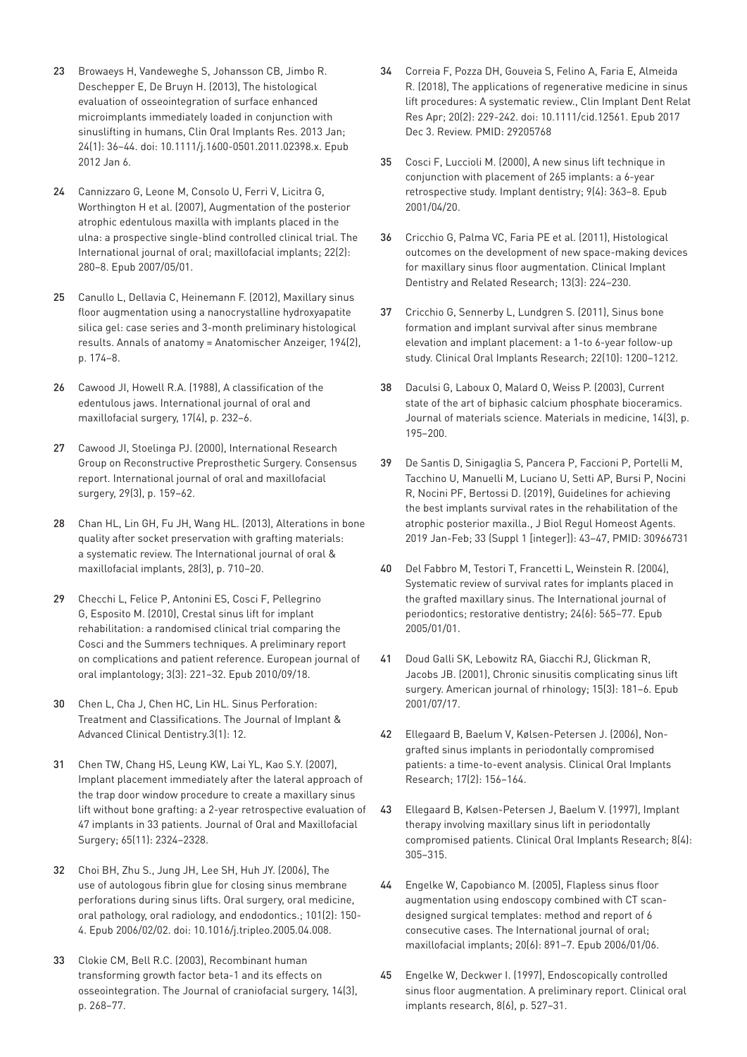- 23 [Browaeys H, Vandeweghe S, Johansson CB, Jimbo R.](https://www.ncbi.nlm.nih.gov/pubmed/?term=22220590)  [Deschepper E, De Bruyn H. \(2013\), The histological](https://www.ncbi.nlm.nih.gov/pubmed/?term=22220590)  [evaluation of osseointegration of surface enhanced](https://www.ncbi.nlm.nih.gov/pubmed/?term=22220590)  [microimplants immediately loaded in conjunction with](https://www.ncbi.nlm.nih.gov/pubmed/?term=22220590)  [sinuslifting in humans, Clin Oral Implants Res. 2013 Jan;](https://www.ncbi.nlm.nih.gov/pubmed/?term=22220590)  [24\(1\): 36–44. doi: 10.1111/j.1600-0501.2011.02398.x. Epub](https://www.ncbi.nlm.nih.gov/pubmed/?term=22220590)  [2012 Jan 6.](https://www.ncbi.nlm.nih.gov/pubmed/?term=22220590)
- 24 [Cannizzaro G, Leone M, Consolo U, Ferri V, Licitra G,](https://www.ncbi.nlm.nih.gov/pubmed/?term=17465354)  [Worthington H et al. \(2007\), Augmentation of the posterior](https://www.ncbi.nlm.nih.gov/pubmed/?term=17465354)  [atrophic edentulous maxilla with implants placed in the](https://www.ncbi.nlm.nih.gov/pubmed/?term=17465354)  [ulna: a prospective single-blind controlled clinical trial. The](https://www.ncbi.nlm.nih.gov/pubmed/?term=17465354)  [International journal of oral; maxillofacial implants; 22\(2\):](https://www.ncbi.nlm.nih.gov/pubmed/?term=17465354)  [280–8. Epub 2007/05/01.](https://www.ncbi.nlm.nih.gov/pubmed/?term=17465354)
- 25 [Canullo L, Dellavia C, Heinemann F. \(2012\), Maxillary sinus](https://www.ncbi.nlm.nih.gov/pubmed/21640571)  [floor augmentation using a nanocrystalline hydroxyapatite](https://www.ncbi.nlm.nih.gov/pubmed/21640571)  [silica gel: case series and 3-month preliminary histological](https://www.ncbi.nlm.nih.gov/pubmed/21640571)  [results. Annals of anatomy = Anatomischer Anzeiger, 194\(2\),](https://www.ncbi.nlm.nih.gov/pubmed/21640571)  [p. 174–8.](https://www.ncbi.nlm.nih.gov/pubmed/21640571)
- 26 [Cawood JI, Howell R.A. \(1988\), A classification of the](https://www.ncbi.nlm.nih.gov/pubmed/3139793)  [edentulous jaws. International journal of oral and](https://www.ncbi.nlm.nih.gov/pubmed/3139793)  [maxillofacial surgery, 17\(4\), p. 232–6.](https://www.ncbi.nlm.nih.gov/pubmed/3139793)
- 27 [Cawood JI, Stoelinga PJ. \(2000\), International Research](https://www.ncbi.nlm.nih.gov/pubmed/10970075)  [Group on Reconstructive Preprosthetic Surgery. Consensus](https://www.ncbi.nlm.nih.gov/pubmed/10970075)  [report. International journal of oral and maxillofacial](https://www.ncbi.nlm.nih.gov/pubmed/10970075)  [surgery, 29\(3\), p. 159–62](https://www.ncbi.nlm.nih.gov/pubmed/10970075).
- 28 [Chan HL, Lin GH, Fu JH, Wang HL. \(2013\), Alterations in bone](https://www.ncbi.nlm.nih.gov/pubmed/23748301)  [quality after socket preservation with grafting materials:](https://www.ncbi.nlm.nih.gov/pubmed/23748301)  [a systematic review. The International journal of oral &](https://www.ncbi.nlm.nih.gov/pubmed/23748301)  [maxillofacial implants, 28\(3\), p. 710–20](https://www.ncbi.nlm.nih.gov/pubmed/23748301).
- 29 Checchi L, Felice P, Antonini ES, Cosci F, Pellegrino [G, Esposito M. \(2010\), Crestal sinus lift for implant](https://www.ncbi.nlm.nih.gov/pubmed/?term=20847992)  [rehabilitation: a randomised clinical trial comparing the](https://www.ncbi.nlm.nih.gov/pubmed/?term=20847992)  [Cosci and the Summers techniques. A preliminary report](https://www.ncbi.nlm.nih.gov/pubmed/?term=20847992)  [on complications and patient reference. European journal of](https://www.ncbi.nlm.nih.gov/pubmed/?term=20847992)  [oral implantology; 3\(3\): 221–32. Epub 2010/09/18.](https://www.ncbi.nlm.nih.gov/pubmed/?term=20847992)
- 30 [Chen L, Cha J, Chen HC, Lin HL. Sinus Perforation:](http://blackwhiteimplants.weebly.com/uploads/5/4/5/4/5454101/dr_leon_chen_jiacd_sinus_article.pdf)  [Treatment and Classifications. The Journal of Implant &](http://blackwhiteimplants.weebly.com/uploads/5/4/5/4/5454101/dr_leon_chen_jiacd_sinus_article.pdf)  [Advanced Clinical Dentistry.3\(1\): 12.](http://blackwhiteimplants.weebly.com/uploads/5/4/5/4/5454101/dr_leon_chen_jiacd_sinus_article.pdf)
- 31 C[hen TW, Chang HS, Leung KW, Lai YL, Kao S.Y. \(2007\),](https://www.ncbi.nlm.nih.gov/pubmed/17954333)  [Implant placement immediately after the lateral approach of](https://www.ncbi.nlm.nih.gov/pubmed/17954333)  [the trap door window procedure to create a maxillary sinus](https://www.ncbi.nlm.nih.gov/pubmed/17954333)  [lift without bone grafting: a 2-year retrospective evaluation of](https://www.ncbi.nlm.nih.gov/pubmed/17954333)  [47 implants in 33 patients. Journal of Oral and Maxillofacial](https://www.ncbi.nlm.nih.gov/pubmed/17954333)  [Surgery; 65\(11\): 2324–2328.](https://www.ncbi.nlm.nih.gov/pubmed/17954333)
- 32 [Choi BH, Zhu S., Jung JH, Lee SH, Huh JY. \(2006\), The](https://www.ncbi.nlm.nih.gov/pubmed/?term=16448914)  [use of autologous fibrin glue for closing sinus membrane](https://www.ncbi.nlm.nih.gov/pubmed/?term=16448914)  [perforations during sinus lifts. Oral surgery, oral medicine,](https://www.ncbi.nlm.nih.gov/pubmed/?term=16448914)  [oral pathology, oral radiology, and endodontics.; 101\(2\): 150-](https://www.ncbi.nlm.nih.gov/pubmed/?term=16448914) [4. Epub 2006/02/02. doi: 10.1016/j.tripleo.2005.04.008.](https://www.ncbi.nlm.nih.gov/pubmed/?term=16448914)
- 33 [Clokie CM, Bell R.C. \(2003\), Recombinant human](https://www.ncbi.nlm.nih.gov/pubmed/12826796)  [transforming growth factor beta-1 and its effects on](https://www.ncbi.nlm.nih.gov/pubmed/12826796)  [osseointegration. The Journal of craniofacial surgery, 14\(3\),](https://www.ncbi.nlm.nih.gov/pubmed/12826796)  [p. 268–77.](https://www.ncbi.nlm.nih.gov/pubmed/12826796)
- 34 [Correia F, Pozza DH, Gouveia S, Felino A, Faria E, Almeida](https://www.ncbi.nlm.nih.gov/pubmed/?term=29205768)  [R. \(2018\), The applications of regenerative medicine in sinus](https://www.ncbi.nlm.nih.gov/pubmed/?term=29205768)  [lift procedures: A systematic review., Clin Implant Dent Relat](https://www.ncbi.nlm.nih.gov/pubmed/?term=29205768)  [Res Apr; 20\(2\): 229-242. doi: 10.1111/cid.12561. Epub 2017](https://www.ncbi.nlm.nih.gov/pubmed/?term=29205768)  [Dec 3. Review. PMID: 29205768](https://www.ncbi.nlm.nih.gov/pubmed/?term=29205768)
- 35 [Cosci F, Luccioli M. \(2000\), A new sinus lift technique in](https://www.ncbi.nlm.nih.gov/pubmed/?term=11307560)  [conjunction with placement of 265 implants: a 6-year](https://www.ncbi.nlm.nih.gov/pubmed/?term=11307560)  [retrospective study. Implant dentistry; 9\(4\): 363–8. Epub](https://www.ncbi.nlm.nih.gov/pubmed/?term=11307560)  [2001/04/20.](https://www.ncbi.nlm.nih.gov/pubmed/?term=11307560)
- 36 Cricchio G, Palma VC, Faria PE et al. (2011), Histological outcomes on the development of new space-making devices for maxillary sinus floor augmentation. Clinical Implant Dentistry and Related Research; 13(3): 224–230.
- 37 [Cricchio G, Sennerby L, Lundgren S. \(2011\), Sinus bone](https://www.ncbi.nlm.nih.gov/pubmed/21906186)  [formation and implant survival after sinus membrane](https://www.ncbi.nlm.nih.gov/pubmed/21906186)  [elevation and implant placement: a 1-to 6-year follow-up](https://www.ncbi.nlm.nih.gov/pubmed/21906186)  [study. Clinical Oral Implants Research; 22\(10\): 1200–1212.](https://www.ncbi.nlm.nih.gov/pubmed/21906186)
- 38 [Daculsi G, Laboux O, Malard O, Weiss P. \(2003\), Current](https://books.google.de/books?id=bBn1AgAAQBAJ&pg=PA203&lpg=PA203&dq=Daculsi+G,+Laboux+O,+Malard+O,+Weiss+P.+(2003),+Current+state+of+the+art+of+biphasic+calcium+phosphate+bioceramics.+Journal+of+materials+science.+Materials+in+medicine,+14(3),+p.+195%E2%80%93200.&source=bl&ots=QdhgTCL4CG&sig=ACfU3U30UktFlVT019xaXzLbwn8RHgb4Lw&hl=de&sa=X&ved=2ahUKEwiUzPS8k4fkAhXB66QKHTAJByoQ6AEwA3oECAgQAQ#v=onepage&q=Daculsi%20G%2C%20Laboux%20O%2C%20Malard%20O%2C%20Weiss%20P.%20(2003)%2C%20Current%20state%20of%20the%20art%20of%20biphasic%20calcium%20phosphate%20bioceramics.%20Journal%20of%20materials%20science.%20Materials%20in%20medicine%2C%2014(3)%2C%20p.%20195%E2%80%93200.&f=false)  [state of the art of biphasic calcium phosphate bioceramics.](https://books.google.de/books?id=bBn1AgAAQBAJ&pg=PA203&lpg=PA203&dq=Daculsi+G,+Laboux+O,+Malard+O,+Weiss+P.+(2003),+Current+state+of+the+art+of+biphasic+calcium+phosphate+bioceramics.+Journal+of+materials+science.+Materials+in+medicine,+14(3),+p.+195%E2%80%93200.&source=bl&ots=QdhgTCL4CG&sig=ACfU3U30UktFlVT019xaXzLbwn8RHgb4Lw&hl=de&sa=X&ved=2ahUKEwiUzPS8k4fkAhXB66QKHTAJByoQ6AEwA3oECAgQAQ#v=onepage&q=Daculsi%20G%2C%20Laboux%20O%2C%20Malard%20O%2C%20Weiss%20P.%20(2003)%2C%20Current%20state%20of%20the%20art%20of%20biphasic%20calcium%20phosphate%20bioceramics.%20Journal%20of%20materials%20science.%20Materials%20in%20medicine%2C%2014(3)%2C%20p.%20195%E2%80%93200.&f=false)  [Journal of materials science. Materials in medicine, 14\(3\), p.](https://books.google.de/books?id=bBn1AgAAQBAJ&pg=PA203&lpg=PA203&dq=Daculsi+G,+Laboux+O,+Malard+O,+Weiss+P.+(2003),+Current+state+of+the+art+of+biphasic+calcium+phosphate+bioceramics.+Journal+of+materials+science.+Materials+in+medicine,+14(3),+p.+195%E2%80%93200.&source=bl&ots=QdhgTCL4CG&sig=ACfU3U30UktFlVT019xaXzLbwn8RHgb4Lw&hl=de&sa=X&ved=2ahUKEwiUzPS8k4fkAhXB66QKHTAJByoQ6AEwA3oECAgQAQ#v=onepage&q=Daculsi%20G%2C%20Laboux%20O%2C%20Malard%20O%2C%20Weiss%20P.%20(2003)%2C%20Current%20state%20of%20the%20art%20of%20biphasic%20calcium%20phosphate%20bioceramics.%20Journal%20of%20materials%20science.%20Materials%20in%20medicine%2C%2014(3)%2C%20p.%20195%E2%80%93200.&f=false)  [195–200.](https://books.google.de/books?id=bBn1AgAAQBAJ&pg=PA203&lpg=PA203&dq=Daculsi+G,+Laboux+O,+Malard+O,+Weiss+P.+(2003),+Current+state+of+the+art+of+biphasic+calcium+phosphate+bioceramics.+Journal+of+materials+science.+Materials+in+medicine,+14(3),+p.+195%E2%80%93200.&source=bl&ots=QdhgTCL4CG&sig=ACfU3U30UktFlVT019xaXzLbwn8RHgb4Lw&hl=de&sa=X&ved=2ahUKEwiUzPS8k4fkAhXB66QKHTAJByoQ6AEwA3oECAgQAQ#v=onepage&q=Daculsi%20G%2C%20Laboux%20O%2C%20Malard%20O%2C%20Weiss%20P.%20(2003)%2C%20Current%20state%20of%20the%20art%20of%20biphasic%20calcium%20phosphate%20bioceramics.%20Journal%20of%20materials%20science.%20Materials%20in%20medicine%2C%2014(3)%2C%20p.%20195%E2%80%93200.&f=false)
- 39 [De Santis D, Sinigaglia S, Pancera P, Faccioni P, Portelli M,](https://www.ncbi.nlm.nih.gov/pubmed/?term=30966731)  [Tacchino U, Manuelli M, Luciano U, Setti AP, Bursi P, Nocini](https://www.ncbi.nlm.nih.gov/pubmed/?term=30966731)  [R, Nocini PF, Bertossi D. \(2019\), Guidelines for achieving](https://www.ncbi.nlm.nih.gov/pubmed/?term=30966731)  [the best implants survival rates in the rehabilitation of the](https://www.ncbi.nlm.nih.gov/pubmed/?term=30966731)  [atrophic posterior maxilla., J Biol Regul Homeost Agents.](https://www.ncbi.nlm.nih.gov/pubmed/?term=30966731)  [2019 Jan-Feb; 33 \(Suppl 1 \[integer\]\): 43–47, PMID: 30966731](https://www.ncbi.nlm.nih.gov/pubmed/?term=30966731)
- 40 [Del Fabbro M, Testori T, Francetti L, Weinstein R. \(2004\),](https://www.ncbi.nlm.nih.gov/pubmed/?term=15626319)  [Systematic review of survival rates for implants placed in](https://www.ncbi.nlm.nih.gov/pubmed/?term=15626319)  [the grafted maxillary sinus. The International journal of](https://www.ncbi.nlm.nih.gov/pubmed/?term=15626319)  [periodontics; restorative dentistry; 24\(6\): 565–77. Epub](https://www.ncbi.nlm.nih.gov/pubmed/?term=15626319)  [2005/01/01.](https://www.ncbi.nlm.nih.gov/pubmed/?term=15626319)
- 41 [Doud Galli SK, Lebowitz RA, Giacchi RJ, Glickman R,](https://www.ncbi.nlm.nih.gov/pubmed/?term=11453505)  [Jacobs JB. \(2001\), Chronic sinusitis complicating sinus lift](https://www.ncbi.nlm.nih.gov/pubmed/?term=11453505)  [surgery. American journal of rhinology; 15\(3\): 181–6. Epub](https://www.ncbi.nlm.nih.gov/pubmed/?term=11453505)  [2001/07/17.](https://www.ncbi.nlm.nih.gov/pubmed/?term=11453505)
- 42 [Ellegaard B, Baelum V, Kølsen-Petersen J. \(2006\), Non](https://www.ncbi.nlm.nih.gov/pubmed/16584411)[grafted sinus implants in periodontally compromised](https://www.ncbi.nlm.nih.gov/pubmed/16584411)  [patients: a time-to-event analysis. Clinical Oral Implants](https://www.ncbi.nlm.nih.gov/pubmed/16584411)  [Research; 17\(2\): 156–164.](https://www.ncbi.nlm.nih.gov/pubmed/16584411)
- 43 [Ellegaard B, Kølsen-Petersen J, Baelum V. \(1997\), Implant](https://www.ncbi.nlm.nih.gov/pubmed/9586478)  [therapy involving maxillary sinus lift in periodontally](https://www.ncbi.nlm.nih.gov/pubmed/9586478)  [compromised patients. Clinical Oral Implants Research; 8\(4\):](https://www.ncbi.nlm.nih.gov/pubmed/9586478)  [305–315.](https://www.ncbi.nlm.nih.gov/pubmed/9586478)
- 44 [Engelke W, Capobianco M. \(2005\), Flapless sinus floor](https://www.ncbi.nlm.nih.gov/pubmed/?term=16392346)  [augmentation using endoscopy combined with CT scan](https://www.ncbi.nlm.nih.gov/pubmed/?term=16392346)[designed surgical templates: method and report of 6](https://www.ncbi.nlm.nih.gov/pubmed/?term=16392346)  [consecutive cases. The International journal of oral;](https://www.ncbi.nlm.nih.gov/pubmed/?term=16392346)  [maxillofacial implants; 20\(6\): 891–7. Epub 2006/01/06.](https://www.ncbi.nlm.nih.gov/pubmed/?term=16392346)
- 45 [Engelke W, Deckwer I. \(1997\), Endoscopically controlled](https://onlinelibrary.wiley.com/doi/abs/10.1034/j.1600-0501.1997.080612.x)  [sinus floor augmentation. A preliminary report. Clinical oral](https://onlinelibrary.wiley.com/doi/abs/10.1034/j.1600-0501.1997.080612.x)  [implants research, 8\(6\), p. 527–31.](https://onlinelibrary.wiley.com/doi/abs/10.1034/j.1600-0501.1997.080612.x)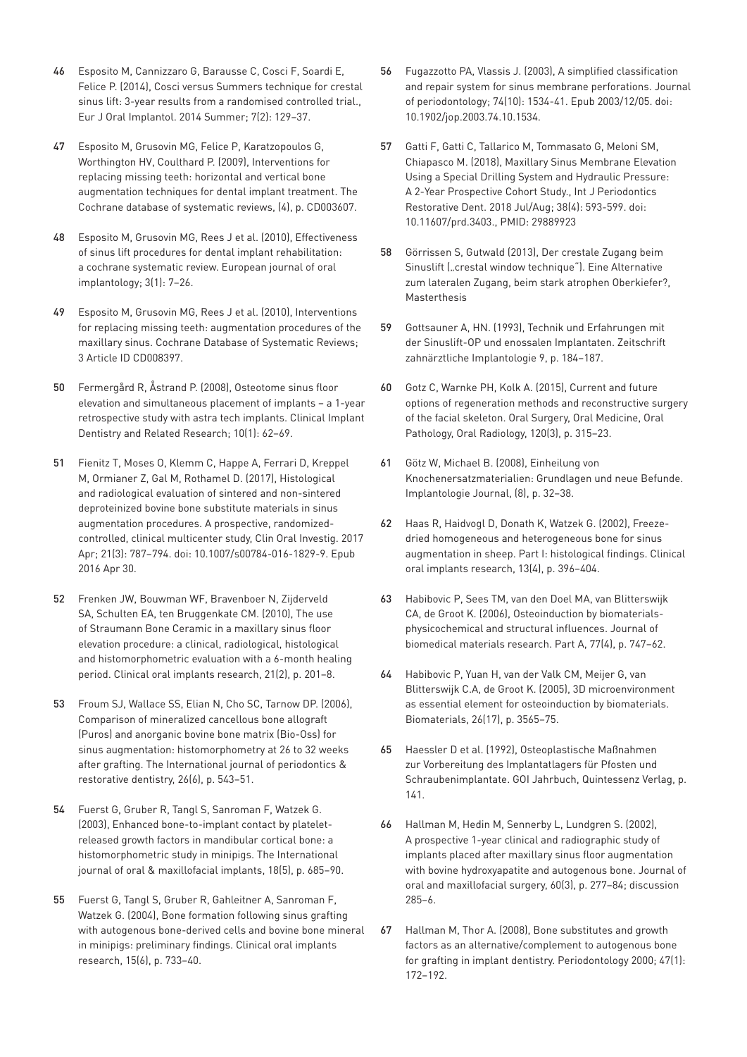- 46 [Esposito M, Cannizzaro G, Barausse C, Cosci F, Soardi E,](https://www.ncbi.nlm.nih.gov/pubmed/24977247)  [Felice P. \(2014\), Cosci versus Summers technique for crestal](https://www.ncbi.nlm.nih.gov/pubmed/24977247)  [sinus lift: 3-year results from a randomised controlled trial.,](https://www.ncbi.nlm.nih.gov/pubmed/24977247)  [Eur J Oral Implantol. 2014 Summer; 7\(2\): 129–37.](https://www.ncbi.nlm.nih.gov/pubmed/24977247)
- 47 [Esposito M, Grusovin MG, Felice P, Karatzopoulos G,](https://www.cochrane.org/CD003607/ORAL_interventions-for-replacing-missing-teeth-horizontal-and-vertical-bone-augmentation-techniques-for-dental-implant-treatment)  [Worthington HV, Coulthard P. \(2009\), Interventions for](https://www.cochrane.org/CD003607/ORAL_interventions-for-replacing-missing-teeth-horizontal-and-vertical-bone-augmentation-techniques-for-dental-implant-treatment)  [replacing missing teeth: horizontal and vertical bone](https://www.cochrane.org/CD003607/ORAL_interventions-for-replacing-missing-teeth-horizontal-and-vertical-bone-augmentation-techniques-for-dental-implant-treatment)  [augmentation techniques for dental implant treatment. The](https://www.cochrane.org/CD003607/ORAL_interventions-for-replacing-missing-teeth-horizontal-and-vertical-bone-augmentation-techniques-for-dental-implant-treatment)  [Cochrane database of systematic reviews, \(4\), p. CD003607.](https://www.cochrane.org/CD003607/ORAL_interventions-for-replacing-missing-teeth-horizontal-and-vertical-bone-augmentation-techniques-for-dental-implant-treatment)
- 48 [Esposito M, Grusovin MG, Rees J et al. \(2010\), Effectiveness](https://www.ncbi.nlm.nih.gov/pubmed/20467595)  [of sinus lift procedures for dental implant rehabilitation:](https://www.ncbi.nlm.nih.gov/pubmed/20467595)  [a cochrane systematic review. European journal of oral](https://www.ncbi.nlm.nih.gov/pubmed/20467595)  [implantology; 3\(1\): 7–26.](https://www.ncbi.nlm.nih.gov/pubmed/20467595)
- 49 [Esposito M, Grusovin MG, Rees J et al. \(2010\), Interventions](https://www.ncbi.nlm.nih.gov/pubmed/20238367)  [for replacing missing teeth: augmentation procedures of the](https://www.ncbi.nlm.nih.gov/pubmed/20238367)  [maxillary sinus. Cochrane Database of Systematic Reviews;](https://www.ncbi.nlm.nih.gov/pubmed/20238367)  [3 Article ID CD008397.](https://www.ncbi.nlm.nih.gov/pubmed/20238367)
- 50 [Fermergård R, Åstrand P. \(2008\), Osteotome sinus floor](http://europepmc.org/abstract/med/18254742)  [elevation and simultaneous placement of implants – a 1-year](http://europepmc.org/abstract/med/18254742)  [retrospective study with astra tech implants. Clinical Implant](http://europepmc.org/abstract/med/18254742)  [Dentistry and Related Research; 10\(1\): 62–69.](http://europepmc.org/abstract/med/18254742)
- 51 [Fienitz T, Moses O, Klemm C, Happe A, Ferrari D, Kreppel](https://www.ncbi.nlm.nih.gov/pubmed/?term=27129584)  [M, Ormianer Z, Gal M, Rothamel D. \(2017\), Histological](https://www.ncbi.nlm.nih.gov/pubmed/?term=27129584)  [and radiological evaluation of sintered and non-sintered](https://www.ncbi.nlm.nih.gov/pubmed/?term=27129584)  [deproteinized bovine bone substitute materials in sinus](https://www.ncbi.nlm.nih.gov/pubmed/?term=27129584)  [augmentation procedures. A prospective, randomized](https://www.ncbi.nlm.nih.gov/pubmed/?term=27129584)[controlled, clinical multicenter study, Clin Oral Investig. 2017](https://www.ncbi.nlm.nih.gov/pubmed/?term=27129584)  [Apr; 21\(3\): 787–794. doi: 10.1007/s00784-016-1829-9. Epub](https://www.ncbi.nlm.nih.gov/pubmed/?term=27129584)  [2016 Apr 30.](https://www.ncbi.nlm.nih.gov/pubmed/?term=27129584)
- 52 [Frenken JW, Bouwman WF, Bravenboer N, Zijderveld](https://www.ncbi.nlm.nih.gov/pubmed/19958374)  [SA, Schulten EA, ten Bruggenkate CM. \(2010\), The use](https://www.ncbi.nlm.nih.gov/pubmed/19958374)  [of Straumann Bone Ceramic in a maxillary sinus floor](https://www.ncbi.nlm.nih.gov/pubmed/19958374)  [elevation procedure: a clinical, radiological, histological](https://www.ncbi.nlm.nih.gov/pubmed/19958374)  [and histomorphometric evaluation with a 6-month healing](https://www.ncbi.nlm.nih.gov/pubmed/19958374)  [period. Clinical oral implants research, 21\(2\), p. 201–8.](https://www.ncbi.nlm.nih.gov/pubmed/19958374)
- 53 [Froum SJ, Wallace SS, Elian N, Cho SC, Tarnow DP. \(2006\),](https://www.ncbi.nlm.nih.gov/pubmed/17243327)  [Comparison of mineralized cancellous bone allograft](https://www.ncbi.nlm.nih.gov/pubmed/17243327)  [\(Puros\) and anorganic bovine bone matrix \(Bio-Oss\) for](https://www.ncbi.nlm.nih.gov/pubmed/17243327)  [sinus augmentation: histomorphometry at 26 to 32 weeks](https://www.ncbi.nlm.nih.gov/pubmed/17243327)  after grafting. The International journal of periodontics & [restorative dentistry, 26\(6\), p. 543–51.](https://www.ncbi.nlm.nih.gov/pubmed/17243327)
- 54 [Fuerst G, Gruber R, Tangl S, Sanroman F, Watzek G.](https://pdfs.semanticscholar.org/b517/1a749ab63b0aa640c33e5d6bb1418868621a.pdf)  [\(2003\), Enhanced bone-to-implant contact by platelet](https://pdfs.semanticscholar.org/b517/1a749ab63b0aa640c33e5d6bb1418868621a.pdf)[released growth factors in mandibular cortical bone: a](https://pdfs.semanticscholar.org/b517/1a749ab63b0aa640c33e5d6bb1418868621a.pdf)  [histomorphometric study in minipigs. The International](https://pdfs.semanticscholar.org/b517/1a749ab63b0aa640c33e5d6bb1418868621a.pdf)  [journal of oral & maxillofacial implants, 18\(5\), p. 685–90.](https://pdfs.semanticscholar.org/b517/1a749ab63b0aa640c33e5d6bb1418868621a.pdf)
- 55 [Fuerst G, Tangl S, Gruber R, Gahleitner A, Sanroman F,](https://www.ingentaconnect.com/content/mksg/clr/2004/00000015/00000006/art00012)  [Watzek G. \(2004\), Bone formation following sinus grafting](https://www.ingentaconnect.com/content/mksg/clr/2004/00000015/00000006/art00012)  [with autogenous bone-derived cells and bovine bone mineral](https://www.ingentaconnect.com/content/mksg/clr/2004/00000015/00000006/art00012)  [in minipigs: preliminary findings. Clinical oral implants](https://www.ingentaconnect.com/content/mksg/clr/2004/00000015/00000006/art00012)  [research, 15\(6\), p. 733–40.](https://www.ingentaconnect.com/content/mksg/clr/2004/00000015/00000006/art00012)
- 56 [Fugazzotto PA, Vlassis J. \(2003\), A simplified classification](https://www.ncbi.nlm.nih.gov/pubmed/?term=14653401)  [and repair system for sinus membrane perforations. Journal](https://www.ncbi.nlm.nih.gov/pubmed/?term=14653401)  [of periodontology; 74\(10\): 1534-41. Epub 2003/12/05. doi:](https://www.ncbi.nlm.nih.gov/pubmed/?term=14653401)  [10.1902/jop.2003.74.10.1534.](https://www.ncbi.nlm.nih.gov/pubmed/?term=14653401)
- 57 [Gatti F, Gatti C, Tallarico M, Tommasato G, Meloni SM,](https://www.ncbi.nlm.nih.gov/pubmed/?term=29889923)  [Chiapasco M. \(2018\), Maxillary Sinus Membrane Elevation](https://www.ncbi.nlm.nih.gov/pubmed/?term=29889923)  [Using a Special Drilling System and Hydraulic Pressure:](https://www.ncbi.nlm.nih.gov/pubmed/?term=29889923)  [A 2-Year Prospective Cohort Study., Int J Periodontics](https://www.ncbi.nlm.nih.gov/pubmed/?term=29889923)  [Restorative Dent. 2018 Jul/Aug; 38\(4\): 593-599. doi:](https://www.ncbi.nlm.nih.gov/pubmed/?term=29889923)  [10.11607/prd.3403., PMID: 29889923](https://www.ncbi.nlm.nih.gov/pubmed/?term=29889923)
- 58 [Görrissen S, Gutwald \(2013\), Der crestale Zugang beim](https://www.edelmund.de/wp-content/uploads/2014/09/masterthese_04_2013.pdf)  Sinuslift ("crestal window technique"). Eine Alternative [zum lateralen Zugang, beim stark atrophen Oberkiefer?,](https://www.edelmund.de/wp-content/uploads/2014/09/masterthese_04_2013.pdf)  [Masterthesis](https://www.edelmund.de/wp-content/uploads/2014/09/masterthese_04_2013.pdf)
- 59 Gottsauner A, HN. (1993), Technik und Erfahrungen mit der Sinuslift-OP und enossalen Implantaten. Zeitschrift zahnärztliche Implantologie 9, p. 184–187.
- 60 [Gotz C, Warnke PH, Kolk A. \(2015\), Current and future](https://www.ncbi.nlm.nih.gov/pubmed/26297391)  [options of regeneration methods and reconstructive surgery](https://www.ncbi.nlm.nih.gov/pubmed/26297391)  [of the facial skeleton. Oral Surgery, Oral Medicine, Oral](https://www.ncbi.nlm.nih.gov/pubmed/26297391)  [Pathology, Oral Radiology, 120\(3\), p. 315–23.](https://www.ncbi.nlm.nih.gov/pubmed/26297391)
- 61 Götz W, Michael B. (2008), Einheilung von Knochenersatzmaterialien: Grundlagen und neue Befunde. Implantologie Journal, (8), p. 32–38.
- 62 [Haas R, Haidvogl D, Donath K, Watzek G. \(2002\), Freeze](https://www.researchgate.net/publication/11212582_Freeze-dried_homogeneous_and_heterogeneous_bone_for_sinus_augmentation_in_sheep_Part_I_Histological_findings)[dried homogeneous and heterogeneous bone for sinus](https://www.researchgate.net/publication/11212582_Freeze-dried_homogeneous_and_heterogeneous_bone_for_sinus_augmentation_in_sheep_Part_I_Histological_findings)  [augmentation in sheep. Part I: histological findings. Clinical](https://www.researchgate.net/publication/11212582_Freeze-dried_homogeneous_and_heterogeneous_bone_for_sinus_augmentation_in_sheep_Part_I_Histological_findings)  [oral implants research, 13\(4\), p. 396–404.](https://www.researchgate.net/publication/11212582_Freeze-dried_homogeneous_and_heterogeneous_bone_for_sinus_augmentation_in_sheep_Part_I_Histological_findings)
- 63 [Habibovic P, Sees TM, van den Doel MA, van Blitterswijk](https://www.researchgate.net/publication/7220800_Osteoinduction_by_Biomaterials-Physicochemical_and_Structural_Influences)  [CA, de Groot K. \(2006\), Osteoinduction by biomaterials](https://www.researchgate.net/publication/7220800_Osteoinduction_by_Biomaterials-Physicochemical_and_Structural_Influences)[physicochemical and structural influences. Journal of](https://www.researchgate.net/publication/7220800_Osteoinduction_by_Biomaterials-Physicochemical_and_Structural_Influences)  [biomedical materials research. Part A, 77\(4\), p. 747–62.](https://www.researchgate.net/publication/7220800_Osteoinduction_by_Biomaterials-Physicochemical_and_Structural_Influences)
- 64 [Habibovic P, Yuan H, van der Valk CM, Meijer G, van](https://www.ncbi.nlm.nih.gov/pubmed/15621247)  [Blitterswijk C.A, de Groot K. \(2005\), 3D microenvironment](https://www.ncbi.nlm.nih.gov/pubmed/15621247)  [as essential element for osteoinduction by biomaterials.](https://www.ncbi.nlm.nih.gov/pubmed/15621247)  [Biomaterials, 26\(17\), p. 3565–75.](https://www.ncbi.nlm.nih.gov/pubmed/15621247)
- 65 Haessler D et al. (1992), Osteoplastische Maßnahmen zur Vorbereitung des Implantatlagers für Pfosten und Schraubenimplantate. GOI Jahrbuch, Quintessenz Verlag, p. 141.
- 66 [Hallman M, Hedin M, Sennerby L, Lundgren S. \(2002\),](https://www.researchgate.net/publication/11476351_A_Prospective_1-Year_Clinical_and_Radiographic_Study_of_Implants_Placed_After_Maxillary_Sinus_Floor_Augmentation_With_Bovine_Hydroxyapatite_and_Autogenous_Bone)  [A prospective 1-year clinical and radiographic study of](https://www.researchgate.net/publication/11476351_A_Prospective_1-Year_Clinical_and_Radiographic_Study_of_Implants_Placed_After_Maxillary_Sinus_Floor_Augmentation_With_Bovine_Hydroxyapatite_and_Autogenous_Bone)  [implants placed after maxillary sinus floor augmentation](https://www.researchgate.net/publication/11476351_A_Prospective_1-Year_Clinical_and_Radiographic_Study_of_Implants_Placed_After_Maxillary_Sinus_Floor_Augmentation_With_Bovine_Hydroxyapatite_and_Autogenous_Bone)  [with bovine hydroxyapatite and autogenous bone. Journal of](https://www.researchgate.net/publication/11476351_A_Prospective_1-Year_Clinical_and_Radiographic_Study_of_Implants_Placed_After_Maxillary_Sinus_Floor_Augmentation_With_Bovine_Hydroxyapatite_and_Autogenous_Bone)  [oral and maxillofacial surgery, 60\(3\), p. 277–84; discussion](https://www.researchgate.net/publication/11476351_A_Prospective_1-Year_Clinical_and_Radiographic_Study_of_Implants_Placed_After_Maxillary_Sinus_Floor_Augmentation_With_Bovine_Hydroxyapatite_and_Autogenous_Bone)  [285–6.](https://www.researchgate.net/publication/11476351_A_Prospective_1-Year_Clinical_and_Radiographic_Study_of_Implants_Placed_After_Maxillary_Sinus_Floor_Augmentation_With_Bovine_Hydroxyapatite_and_Autogenous_Bone)
- 67 [Hallman M, Thor A. \(2008\), Bone substitutes and growth](https://www.ncbi.nlm.nih.gov/pubmed/18412581)  [factors as an alternative/complement to autogenous bone](https://www.ncbi.nlm.nih.gov/pubmed/18412581)  [for grafting in implant dentistry. Periodontology 2000; 47\(1\):](https://www.ncbi.nlm.nih.gov/pubmed/18412581)  [172–192.](https://www.ncbi.nlm.nih.gov/pubmed/18412581)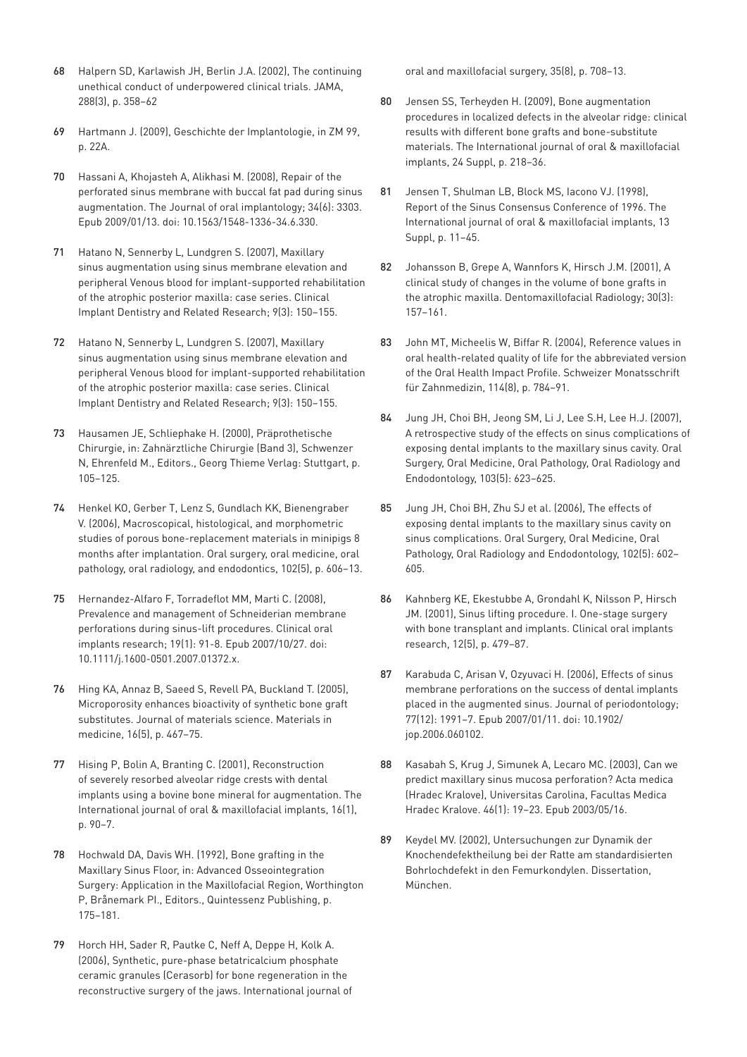- 68 [Halpern SD, Karlawish JH, Berlin J.A. \(2002\), The continuing](https://www.ncbi.nlm.nih.gov/pubmed/12117401)  [unethical conduct of underpowered clinical trials. JAMA,](https://www.ncbi.nlm.nih.gov/pubmed/12117401)  [288\(3\), p. 358–62](https://www.ncbi.nlm.nih.gov/pubmed/12117401)
- 69 Hartmann J. (2009), Geschichte der Implantologie, in ZM 99, p. 22A.
- 70 [Hassani A, Khojasteh A, Alikhasi M. \(2008\), Repair of the](https://www.ncbi.nlm.nih.gov/pubmed/?term=19133488)  [perforated sinus membrane with buccal fat pad during sinus](https://www.ncbi.nlm.nih.gov/pubmed/?term=19133488)  [augmentation. The Journal of oral implantology; 34\(6\): 3303.](https://www.ncbi.nlm.nih.gov/pubmed/?term=19133488)  [Epub 2009/01/13. doi: 10.1563/1548-1336-34.6.330.](https://www.ncbi.nlm.nih.gov/pubmed/?term=19133488)
- 71 [Hatano N, Sennerby L, Lundgren S. \(2007\), Maxillary](https://www.ncbi.nlm.nih.gov/pubmed/17716259)  [sinus augmentation using sinus membrane elevation and](https://www.ncbi.nlm.nih.gov/pubmed/17716259)  [peripheral Venous blood for implant-supported rehabilitation](https://www.ncbi.nlm.nih.gov/pubmed/17716259)  [of the atrophic posterior maxilla: case series. Clinical](https://www.ncbi.nlm.nih.gov/pubmed/17716259)  [Implant Dentistry and Related Research; 9\(3\): 150–155.](https://www.ncbi.nlm.nih.gov/pubmed/17716259)
- 72 [Hatano N, Sennerby L, Lundgren S. \(2007\), Maxillary](https://www.ncbi.nlm.nih.gov/pubmed/17716259)  [sinus augmentation using sinus membrane elevation and](https://www.ncbi.nlm.nih.gov/pubmed/17716259)  [peripheral Venous blood for implant-supported rehabilitation](https://www.ncbi.nlm.nih.gov/pubmed/17716259)  [of the atrophic posterior maxilla: case series. Clinical](https://www.ncbi.nlm.nih.gov/pubmed/17716259)  [Implant Dentistry and Related Research; 9\(3\): 150–155.](https://www.ncbi.nlm.nih.gov/pubmed/17716259)
- 73 [Hausamen JE, Schliephake H. \(2000\), Präprothetische](https://www.amazon.de/Zahn-Mund-Kiefer-Heilkunde-Lehrbuchreihe-Aus-Weiterbildung-Zahn-Mund-Kiefer-Heilkunde/dp/313116963X/ref=sr_1_1?__mk_de_DE=%C3%85M%C3%85%C5%BD%C3%95%C3%91&keywords=Zahn%C3%A4rztliche+Chirurgie+%28Band+3%29&qid=1565949343&s=books&sr=1-1)  [Chirurgie, in: Zahnärztliche Chirurgie \(Band 3\), Schwenzer](https://www.amazon.de/Zahn-Mund-Kiefer-Heilkunde-Lehrbuchreihe-Aus-Weiterbildung-Zahn-Mund-Kiefer-Heilkunde/dp/313116963X/ref=sr_1_1?__mk_de_DE=%C3%85M%C3%85%C5%BD%C3%95%C3%91&keywords=Zahn%C3%A4rztliche+Chirurgie+%28Band+3%29&qid=1565949343&s=books&sr=1-1)  [N, Ehrenfeld M., Editors., Georg Thieme Verlag: Stuttgart, p.](https://www.amazon.de/Zahn-Mund-Kiefer-Heilkunde-Lehrbuchreihe-Aus-Weiterbildung-Zahn-Mund-Kiefer-Heilkunde/dp/313116963X/ref=sr_1_1?__mk_de_DE=%C3%85M%C3%85%C5%BD%C3%95%C3%91&keywords=Zahn%C3%A4rztliche+Chirurgie+%28Band+3%29&qid=1565949343&s=books&sr=1-1)  [105–125.](https://www.amazon.de/Zahn-Mund-Kiefer-Heilkunde-Lehrbuchreihe-Aus-Weiterbildung-Zahn-Mund-Kiefer-Heilkunde/dp/313116963X/ref=sr_1_1?__mk_de_DE=%C3%85M%C3%85%C5%BD%C3%95%C3%91&keywords=Zahn%C3%A4rztliche+Chirurgie+%28Band+3%29&qid=1565949343&s=books&sr=1-1)
- 74 [Henkel KO, Gerber T, Lenz S, Gundlach KK, Bienengraber](https://europepmc.org/abstract/med/17052636)  [V. \(2006\), Macroscopical, histological, and morphometric](https://europepmc.org/abstract/med/17052636)  [studies of porous bone-replacement materials in minipigs 8](https://europepmc.org/abstract/med/17052636)  [months after implantation. Oral surgery, oral medicine, oral](https://europepmc.org/abstract/med/17052636)  [pathology, oral radiology, and endodontics, 102\(5\), p. 606–13.](https://europepmc.org/abstract/med/17052636)
- 75 [Hernandez-Alfaro F, Torradeflot MM, Marti C. \(2008\),](https://www.ncbi.nlm.nih.gov/pubmed/?term=17961185)  [Prevalence and management of Schneiderian membrane](https://www.ncbi.nlm.nih.gov/pubmed/?term=17961185)  [perforations during sinus-lift procedures. Clinical oral](https://www.ncbi.nlm.nih.gov/pubmed/?term=17961185)  [implants research; 19\(1\): 91-8. Epub 2007/10/27. doi:](https://www.ncbi.nlm.nih.gov/pubmed/?term=17961185)  [10.1111/j.1600-0501.2007.01372.x.](https://www.ncbi.nlm.nih.gov/pubmed/?term=17961185)
- 76 [Hing KA, Annaz B, Saeed S, Revell PA, Buckland T. \(2005\),](https://www.ncbi.nlm.nih.gov/pubmed/15875258)  [Microporosity enhances bioactivity of synthetic bone graft](https://www.ncbi.nlm.nih.gov/pubmed/15875258)  [substitutes. Journal of materials science. Materials in](https://www.ncbi.nlm.nih.gov/pubmed/15875258)  [medicine, 16\(5\), p. 467–75.](https://www.ncbi.nlm.nih.gov/pubmed/15875258)
- 77 [Hising P, Bolin A, Branting C. \(2001\), Reconstruction](https://www.ncbi.nlm.nih.gov/pubmed/11280367)  [of severely resorbed alveolar ridge crests with dental](https://www.ncbi.nlm.nih.gov/pubmed/11280367)  [implants using a bovine bone mineral for augmentation. The](https://www.ncbi.nlm.nih.gov/pubmed/11280367)  [International journal of oral & maxillofacial implants, 16\(1\),](https://www.ncbi.nlm.nih.gov/pubmed/11280367)  [p. 90–7.](https://www.ncbi.nlm.nih.gov/pubmed/11280367)
- 78 [Hochwald DA, Davis WH. \(1992\), Bone grafting in the](http://www.jird-online.com/assets/downloads/ipad_jird_issue2.pdf)  [Maxillary Sinus Floor, in: Advanced Osseointegration](http://www.jird-online.com/assets/downloads/ipad_jird_issue2.pdf)  [Surgery: Application in the Maxillofacial Region, Worthington](http://www.jird-online.com/assets/downloads/ipad_jird_issue2.pdf)  [P, Brånemark PI., Editors., Quintessenz Publishing, p.](http://www.jird-online.com/assets/downloads/ipad_jird_issue2.pdf)  [175–181.](http://www.jird-online.com/assets/downloads/ipad_jird_issue2.pdf)
- 79 [Horch HH, Sader R, Pautke C, Neff A, Deppe H, Kolk A.](https://www.ncbi.nlm.nih.gov/pubmed/16690249)  [\(2006\), Synthetic, pure-phase betatricalcium phosphate](https://www.ncbi.nlm.nih.gov/pubmed/16690249)  [ceramic granules \(Cerasorb\) for bone regeneration in the](https://www.ncbi.nlm.nih.gov/pubmed/16690249)  [reconstructive surgery of the jaws. International journal of](https://www.ncbi.nlm.nih.gov/pubmed/16690249)

[oral and maxillofacial surgery, 35\(8\), p. 708–13.](https://www.ncbi.nlm.nih.gov/pubmed/16690249)

- 80 [Jensen SS, Terheyden H. \(2009\), Bone augmentation](https://www.ncbi.nlm.nih.gov/pubmed/19885447)  [procedures in localized defects in the alveolar ridge: clinical](https://www.ncbi.nlm.nih.gov/pubmed/19885447)  [results with different bone grafts and bone-substitute](https://www.ncbi.nlm.nih.gov/pubmed/19885447)  [materials. The International journal of oral & maxillofacial](https://www.ncbi.nlm.nih.gov/pubmed/19885447)  [implants, 24 Suppl, p. 218–36.](https://www.ncbi.nlm.nih.gov/pubmed/19885447)
- 81 [Jensen T, Shulman LB, Block MS, Iacono VJ. \(1998\),](https://www.ncbi.nlm.nih.gov/pubmed/9715571)  [Report of the Sinus Consensus Conference of 1996. The](https://www.ncbi.nlm.nih.gov/pubmed/9715571)  [International journal of oral & maxillofacial implants, 13](https://www.ncbi.nlm.nih.gov/pubmed/9715571)  [Suppl, p. 11–45.](https://www.ncbi.nlm.nih.gov/pubmed/9715571)
- 82 [Johansson B, Grepe A, Wannfors K, Hirsch J.M. \(2001\), A](https://www.ncbi.nlm.nih.gov/pubmed/11420628)  [clinical study of changes in the volume of bone grafts in](https://www.ncbi.nlm.nih.gov/pubmed/11420628)  [the atrophic maxilla. Dentomaxillofacial Radiology; 30\(3\):](https://www.ncbi.nlm.nih.gov/pubmed/11420628)  [157–161.](https://www.ncbi.nlm.nih.gov/pubmed/11420628)
- 83 [John MT, Micheelis W, Biffar R. \(2004\), Reference values in](https://www.researchgate.net/publication/8243181_Reference_values_in_oral_health-related_quality_of_life_for_the_abbreviated_version_of_the_Oral_Health_Impact_Profile)  [oral health-related quality of life for the abbreviated version](https://www.researchgate.net/publication/8243181_Reference_values_in_oral_health-related_quality_of_life_for_the_abbreviated_version_of_the_Oral_Health_Impact_Profile)  [of the Oral Health Impact Profile. Schweizer Monatsschrift](https://www.researchgate.net/publication/8243181_Reference_values_in_oral_health-related_quality_of_life_for_the_abbreviated_version_of_the_Oral_Health_Impact_Profile)  [für Zahnmedizin, 114\(8\), p. 784–91.](https://www.researchgate.net/publication/8243181_Reference_values_in_oral_health-related_quality_of_life_for_the_abbreviated_version_of_the_Oral_Health_Impact_Profile)
- 84 [Jung JH, Choi BH, Jeong SM, Li J, Lee S.H, Lee H.J. \(2007\),](https://www.ncbi.nlm.nih.gov/pubmed/17257862)  [A retrospective study of the effects on sinus complications of](https://www.ncbi.nlm.nih.gov/pubmed/17257862)  [exposing dental implants to the maxillary sinus cavity. Oral](https://www.ncbi.nlm.nih.gov/pubmed/17257862)  [Surgery, Oral Medicine, Oral Pathology, Oral Radiology and](https://www.ncbi.nlm.nih.gov/pubmed/17257862)  [Endodontology, 103\(5\): 623–625.](https://www.ncbi.nlm.nih.gov/pubmed/17257862)
- 85 [Jung JH, Choi BH, Zhu SJ et al. \(2006\), The effects of](https://yonsei.pure.elsevier.com/en/publications/the-effects-of-exposing-dental-implants-to-the-maxillary-sinus-ca)  [exposing dental implants to the maxillary sinus cavity on](https://yonsei.pure.elsevier.com/en/publications/the-effects-of-exposing-dental-implants-to-the-maxillary-sinus-ca)  [sinus complications. Oral Surgery, Oral Medicine, Oral](https://yonsei.pure.elsevier.com/en/publications/the-effects-of-exposing-dental-implants-to-the-maxillary-sinus-ca)  [Pathology, Oral Radiology and Endodontology, 102\(5\): 602–](https://yonsei.pure.elsevier.com/en/publications/the-effects-of-exposing-dental-implants-to-the-maxillary-sinus-ca) [605.](https://yonsei.pure.elsevier.com/en/publications/the-effects-of-exposing-dental-implants-to-the-maxillary-sinus-ca)
- 86 [Kahnberg KE, Ekestubbe A, Grondahl K, Nilsson P, Hirsch](https://www.ncbi.nlm.nih.gov/pubmed/11564108)  [JM. \(2001\), Sinus lifting procedure. I. One-stage surgery](https://www.ncbi.nlm.nih.gov/pubmed/11564108)  [with bone transplant and implants. Clinical oral implants](https://www.ncbi.nlm.nih.gov/pubmed/11564108)  [research, 12\(5\), p. 479–87.](https://www.ncbi.nlm.nih.gov/pubmed/11564108)
- 87 Karabuda C, Arisan V, Ozyuvaci H. (2006), Effects of sinus [membrane perforations on the success of dental implants](https://www.ncbi.nlm.nih.gov/pubmed/?term=17209783)  [placed in the augmented sinus. Journal of periodontology;](https://www.ncbi.nlm.nih.gov/pubmed/?term=17209783)  [77\(12\): 1991–7. Epub 2007/01/11. doi: 10.1902/](https://www.ncbi.nlm.nih.gov/pubmed/?term=17209783) [jop.2006.060102.](https://www.ncbi.nlm.nih.gov/pubmed/?term=17209783)
- 88 [Kasabah S, Krug J, Simunek A, Lecaro MC. \(2003\), Can we](https://www.ncbi.nlm.nih.gov/pubmed/?term=12747535)  [predict maxillary sinus mucosa perforation? Acta medica](https://www.ncbi.nlm.nih.gov/pubmed/?term=12747535)  [\(Hradec Kralove\), Universitas Carolina, Facultas Medica](https://www.ncbi.nlm.nih.gov/pubmed/?term=12747535)  [Hradec Kralove. 46\(1\): 19–23. Epub 2003/05/16.](https://www.ncbi.nlm.nih.gov/pubmed/?term=12747535)
- 89 Keydel MV. (2002), Untersuchungen zur Dynamik der Knochendefektheilung bei der Ratte am standardisierten Bohrlochdefekt in den Femurkondylen. Dissertation, München.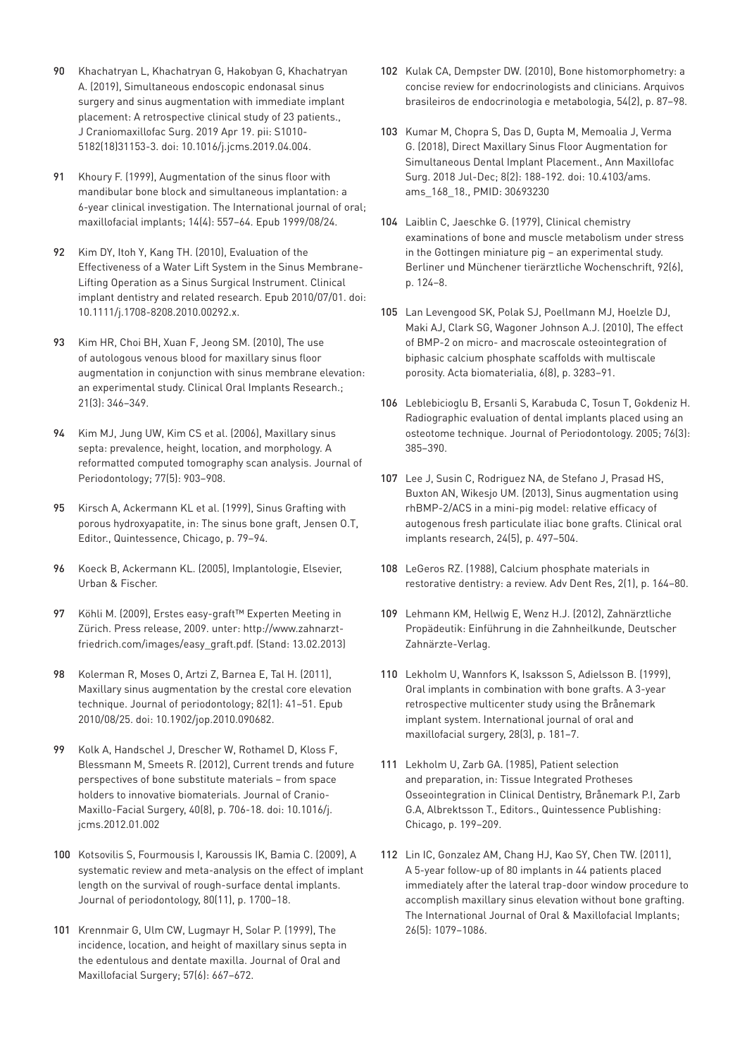- 90 [Khachatryan L, Khachatryan G, Hakobyan G, Khachatryan](https://www.ncbi.nlm.nih.gov/pubmed/?term=31080051)  [A. \(2019\), Simultaneous endoscopic endonasal sinus](https://www.ncbi.nlm.nih.gov/pubmed/?term=31080051)  [surgery and sinus augmentation with immediate implant](https://www.ncbi.nlm.nih.gov/pubmed/?term=31080051)  [placement: A retrospective clinical study of 23 patients.,](https://www.ncbi.nlm.nih.gov/pubmed/?term=31080051)  [J Craniomaxillofac Surg. 2019 Apr 19. pii: S1010-](https://www.ncbi.nlm.nih.gov/pubmed/?term=31080051) [5182\(18\)31153-3. doi: 10.1016/j.jcms.2019.04.004.](https://www.ncbi.nlm.nih.gov/pubmed/?term=31080051)
- 91 Khoury F. (1999), Augmentation of the sinus floor with [mandibular bone block and simultaneous implantation: a](https://www.ncbi.nlm.nih.gov/pubmed/?term=10453672)  [6-year clinical investigation. The International journal of oral;](https://www.ncbi.nlm.nih.gov/pubmed/?term=10453672)  [maxillofacial implants; 14\(4\): 557–64. Epub 1999/08/24.](https://www.ncbi.nlm.nih.gov/pubmed/?term=10453672)
- 92 [Kim DY, Itoh Y, Kang TH. \(2010\), Evaluation of the](https://www.ncbi.nlm.nih.gov/pubmed/?term=20586782)  [Effectiveness of a Water Lift System in the Sinus Membrane-](https://www.ncbi.nlm.nih.gov/pubmed/?term=20586782)[Lifting Operation as a Sinus Surgical Instrument. Clinical](https://www.ncbi.nlm.nih.gov/pubmed/?term=20586782)  [implant dentistry and related research. Epub 2010/07/01. doi:](https://www.ncbi.nlm.nih.gov/pubmed/?term=20586782)  [10.1111/j.1708-8208.2010.00292.x.](https://www.ncbi.nlm.nih.gov/pubmed/?term=20586782)
- 93 Kim HR, Choi BH, Xuan F, Jeong SM. (2010), The use of autologous venous blood for maxillary sinus floor augmentation in conjunction with sinus membrane elevation: an experimental study. Clinical Oral Implants Research.; 21(3): 346–349.
- 94 Kim MJ, Jung UW, Kim CS et al. (2006), Maxillary sinus septa: prevalence, height, location, and morphology. A reformatted computed tomography scan analysis. Journal of Periodontology; 77(5): 903–908.
- 95 Kirsch A, Ackermann KL et al. (1999), Sinus Grafting with porous hydroxyapatite, in: The sinus bone graft, Jensen O.T, Editor., Quintessence, Chicago, p. 79–94.
- 96 Koeck B, Ackermann KL. (2005), Implantologie, Elsevier, Urban & Fischer.
- 97 Köhli M. (2009), Erstes easy-graft™ Experten Meeting in Zürich. Press release, 2009. unter: http://www.zahnarztfriedrich.com/images/easy\_graft.pdf. (Stand: 13.02.2013)
- 98 [Kolerman R, Moses O, Artzi Z, Barnea E, Tal H. \(2011\),](https://www.ncbi.nlm.nih.gov/pubmed/?term=20731587)  [Maxillary sinus augmentation by the crestal core elevation](https://www.ncbi.nlm.nih.gov/pubmed/?term=20731587)  [technique. Journal of periodontology; 82\(1\): 41–51. Epub](https://www.ncbi.nlm.nih.gov/pubmed/?term=20731587)  [2010/08/25. doi: 10.1902/jop.2010.090682.](https://www.ncbi.nlm.nih.gov/pubmed/?term=20731587)
- 99 Kolk A, Handschel J, Drescher W, Rothamel D, Kloss F, Blessmann M, Smeets R. (2012), Current trends and future perspectives of bone substitute materials – from space holders to innovative biomaterials. Journal of Cranio-Maxillo-Facial Surgery, 40(8), p. 706-18. doi: 10.1016/j. jcms.2012.01.002
- 100 Kotsovilis S, Fourmousis I, Karoussis IK, Bamia C. (2009), A systematic review and meta-analysis on the effect of implant length on the survival of rough-surface dental implants. Journal of periodontology, 80(11), p. 1700–18.
- 101 Krennmair G, Ulm CW, Lugmayr H, Solar P. (1999), The incidence, location, and height of maxillary sinus septa in the edentulous and dentate maxilla. Journal of Oral and Maxillofacial Surgery; 57(6): 667–672.
- 102 Kulak CA, Dempster DW. (2010), Bone histomorphometry: a concise review for endocrinologists and clinicians. Arquivos brasileiros de endocrinologia e metabologia, 54(2), p. 87–98.
- 103 [Kumar M, Chopra S, Das D, Gupta M, Memoalia J, Verma](https://www.ncbi.nlm.nih.gov/pubmed/?term=30693230)  [G. \(2018\), Direct Maxillary Sinus Floor Augmentation for](https://www.ncbi.nlm.nih.gov/pubmed/?term=30693230)  [Simultaneous Dental Implant Placement., Ann Maxillofac](https://www.ncbi.nlm.nih.gov/pubmed/?term=30693230)  [Surg. 2018 Jul-Dec; 8\(2\): 188-192. doi: 10.4103/ams.](https://www.ncbi.nlm.nih.gov/pubmed/?term=30693230) [ams\\_168\\_18., PMID: 30693230](https://www.ncbi.nlm.nih.gov/pubmed/?term=30693230)
- 104 Laiblin C, Jaeschke G. (1979), Clinical chemistry examinations of bone and muscle metabolism under stress in the Gottingen miniature pig – an experimental study. Berliner und Münchener tierärztliche Wochenschrift, 92(6), p. 124–8.
- 105 Lan Levengood SK, Polak SJ, Poellmann MJ, Hoelzle DJ, Maki AJ, Clark SG, Wagoner Johnson A.J. (2010), The effect of BMP-2 on micro- and macroscale osteointegration of biphasic calcium phosphate scaffolds with multiscale porosity. Acta biomaterialia, 6(8), p. 3283–91.
- 106 Leblebicioglu B, Ersanli S, Karabuda C, Tosun T, Gokdeniz H. Radiographic evaluation of dental implants placed using an osteotome technique. Journal of Periodontology. 2005; 76(3): 385–390.
- 107 Lee J, Susin C, Rodriguez NA, de Stefano J, Prasad HS, Buxton AN, Wikesjo UM. (2013), Sinus augmentation using rhBMP-2/ACS in a mini-pig model: relative efficacy of autogenous fresh particulate iliac bone grafts. Clinical oral implants research, 24(5), p. 497–504.
- 108 LeGeros RZ. (1988), Calcium phosphate materials in restorative dentistry: a review. Adv Dent Res, 2(1), p. 164–80.
- 109 Lehmann KM, Hellwig E, Wenz H.J. (2012), Zahnärztliche Propädeutik: Einführung in die Zahnheilkunde, Deutscher Zahnärzte-Verlag.
- 110 Lekholm U, Wannfors K, Isaksson S, Adielsson B. (1999), Oral implants in combination with bone grafts. A 3-year retrospective multicenter study using the Brånemark implant system. International journal of oral and maxillofacial surgery, 28(3), p. 181–7.
- 111 Lekholm U, Zarb GA. (1985), Patient selection and preparation, in: Tissue Integrated Protheses Osseointegration in Clinical Dentistry, Brånemark P.I, Zarb G.A, Albrektsson T., Editors., Quintessence Publishing: Chicago, p. 199–209.
- 112 Lin IC, Gonzalez AM, Chang HJ, Kao SY, Chen TW. (2011), A 5-year follow-up of 80 implants in 44 patients placed immediately after the lateral trap-door window procedure to accomplish maxillary sinus elevation without bone grafting. The International Journal of Oral & Maxillofacial Implants; 26(5): 1079–1086.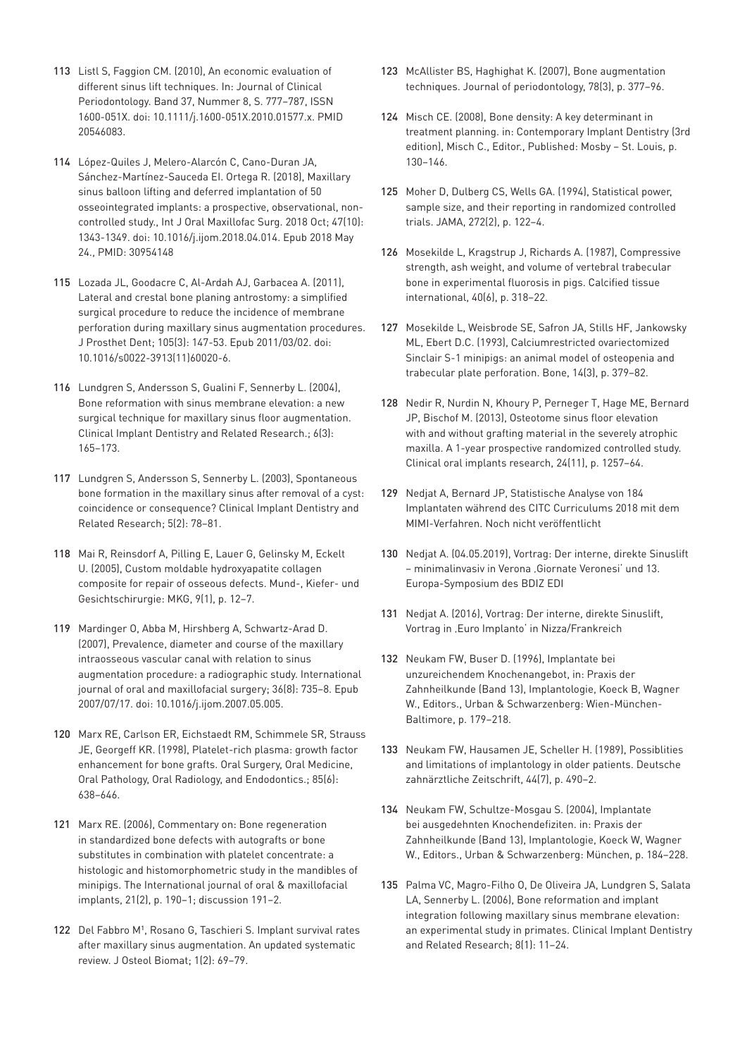- 113 Listl S, Faggion CM. (2010), An economic evaluation of different sinus lift techniques. In: Journal of Clinical Periodontology. Band 37, Nummer 8, S. 777–787, ISSN 1600-051X. doi: 10.1111/j.1600-051X.2010.01577.x. PMID [20546083.](https://www.ncbi.nlm.nih.gov/pubmed/?term=20546083)
- 114 [López-Quiles J, Melero-Alarcón C, Cano-Duran JA,](https://www.ncbi.nlm.nih.gov/pubmed/?term=30954148)  [Sánchez-Martínez-Sauceda EI. Ortega R. \(2018\), Maxillary](https://www.ncbi.nlm.nih.gov/pubmed/?term=30954148)  [sinus balloon lifting and deferred implantation of 50](https://www.ncbi.nlm.nih.gov/pubmed/?term=30954148)  [osseointegrated implants: a prospective, observational, non](https://www.ncbi.nlm.nih.gov/pubmed/?term=30954148)[controlled study., Int J Oral Maxillofac Surg. 2018 Oct; 47\(10\):](https://www.ncbi.nlm.nih.gov/pubmed/?term=30954148)  [1343-1349. doi: 10.1016/j.ijom.2018.04.014. Epub 2018 May](https://www.ncbi.nlm.nih.gov/pubmed/?term=30954148)  [24., PMID: 30954148](https://www.ncbi.nlm.nih.gov/pubmed/?term=30954148)
- 115 [Lozada JL, Goodacre C, Al-Ardah AJ, Garbacea A. \(2011\),](https://www.ncbi.nlm.nih.gov/pubmed/?term=21356405)  [Lateral and crestal bone planing antrostomy: a simplified](https://www.ncbi.nlm.nih.gov/pubmed/?term=21356405)  [surgical procedure to reduce the incidence of membrane](https://www.ncbi.nlm.nih.gov/pubmed/?term=21356405)  [perforation during maxillary sinus augmentation procedures.](https://www.ncbi.nlm.nih.gov/pubmed/?term=21356405)  [J Prosthet Dent; 105\(3\): 147-53. Epub 2011/03/02. doi:](https://www.ncbi.nlm.nih.gov/pubmed/?term=21356405)  [10.1016/s0022-3913\(11\)60020-6.](https://www.ncbi.nlm.nih.gov/pubmed/?term=21356405)
- 116 Lundgren S, Andersson S, Gualini F, Sennerby L. (2004), Bone reformation with sinus membrane elevation: a new surgical technique for maxillary sinus floor augmentation. Clinical Implant Dentistry and Related Research.; 6(3): 165–173.
- 117 Lundgren S, Andersson S, Sennerby L. (2003), Spontaneous bone formation in the maxillary sinus after removal of a cyst: coincidence or consequence? Clinical Implant Dentistry and Related Research; 5(2): 78–81.
- 118 Mai R, Reinsdorf A, Pilling E, Lauer G, Gelinsky M, Eckelt U. (2005), Custom moldable hydroxyapatite collagen composite for repair of osseous defects. Mund-, Kiefer- und Gesichtschirurgie: MKG, 9(1), p. 12–7.
- 119 [Mardinger O, Abba M, Hirshberg A, Schwartz-Arad D.](https://www.ncbi.nlm.nih.gov/pubmed/?term=17629462)  [\(2007\), Prevalence, diameter and course of the maxillary](https://www.ncbi.nlm.nih.gov/pubmed/?term=17629462)  [intraosseous vascular canal with relation to sinus](https://www.ncbi.nlm.nih.gov/pubmed/?term=17629462)  [augmentation procedure: a radiographic study. International](https://www.ncbi.nlm.nih.gov/pubmed/?term=17629462)  [journal of oral and maxillofacial surgery; 36\(8\): 735–8. Epub](https://www.ncbi.nlm.nih.gov/pubmed/?term=17629462)  [2007/07/17. doi: 10.1016/j.ijom.2007.05.005.](https://www.ncbi.nlm.nih.gov/pubmed/?term=17629462)
- 120 Marx RE, Carlson ER, Eichstaedt RM, Schimmele SR, Strauss JE, Georgeff KR. (1998), Platelet-rich plasma: growth factor enhancement for bone grafts. Oral Surgery, Oral Medicine, Oral Pathology, Oral Radiology, and Endodontics.; 85(6): 638–646.
- 121 Marx RE. (2006), Commentary on: Bone regeneration in standardized bone defects with autografts or bone substitutes in combination with platelet concentrate: a histologic and histomorphometric study in the mandibles of minipigs. The International journal of oral & maxillofacial implants, 21(2), p. 190–1; discussion 191–2.
- 122 Del Fabbro M<sup>1</sup>, Rosano G, Taschieri S. Implant survival rates [after maxillary sinus augmentation. An updated systematic](https://www.ncbi.nlm.nih.gov/pubmed/19049518)  [review. J Osteol Biomat; 1\(2\): 69–79.](https://www.ncbi.nlm.nih.gov/pubmed/19049518)
- 123 McAllister BS, Haghighat K. (2007), Bone augmentation techniques. Journal of periodontology, 78(3), p. 377–96.
- 124 Misch CE. (2008), Bone density: A key determinant in treatment planning. in: Contemporary Implant Dentistry (3rd edition), Misch C., Editor., Published: Mosby – St. Louis, p. 130–146.
- 125 Moher D, Dulberg CS, Wells GA. (1994), Statistical power, sample size, and their reporting in randomized controlled trials. JAMA, 272(2), p. 122–4.
- 126 Mosekilde L, Kragstrup J, Richards A. (1987), Compressive strength, ash weight, and volume of vertebral trabecular bone in experimental fluorosis in pigs. Calcified tissue international, 40(6), p. 318–22.
- 127 Mosekilde L, Weisbrode SE, Safron JA, Stills HF, Jankowsky ML, Ebert D.C. (1993), Calciumrestricted ovariectomized Sinclair S-1 minipigs: an animal model of osteopenia and trabecular plate perforation. Bone, 14(3), p. 379–82.
- 128 Nedir R, Nurdin N, Khoury P, Perneger T, Hage ME, Bernard JP, Bischof M. (2013), Osteotome sinus floor elevation with and without grafting material in the severely atrophic maxilla. A 1-year prospective randomized controlled study. Clinical oral implants research, 24(11), p. 1257–64.
- 129 Nedjat A, Bernard JP, Statistische Analyse von 184 Implantaten während des CITC Curriculums 2018 mit dem MIMI-Verfahren. Noch nicht veröffentlicht
- 130 Nedjat A. (04.05.2019), Vortrag: Der interne, direkte Sinuslift – minimalinvasiv in Verona 'Giornate Veronesi' und 13. Europa-Symposium des BDIZ EDI
- 131 Nedjat A. (2016), Vortrag: Der interne, direkte Sinuslift, Vortrag in , Euro Implanto' in Nizza/Frankreich
- 132 Neukam FW, Buser D. (1996), Implantate bei unzureichendem Knochenangebot, in: Praxis der Zahnheilkunde (Band 13), Implantologie, Koeck B, Wagner W., Editors., Urban & Schwarzenberg: Wien-München-Baltimore, p. 179–218.
- 133 Neukam FW, Hausamen JE, Scheller H. (1989), Possiblities and limitations of implantology in older patients. Deutsche zahnärztliche Zeitschrift, 44(7), p. 490–2.
- 134 Neukam FW, Schultze-Mosgau S. (2004), Implantate bei ausgedehnten Knochendefiziten. in: Praxis der Zahnheilkunde (Band 13), Implantologie, Koeck W, Wagner W., Editors., Urban & Schwarzenberg: München, p. 184–228.
- 135 Palma VC, Magro-Filho O, De Oliveira JA, Lundgren S, Salata LA, Sennerby L. (2006), Bone reformation and implant integration following maxillary sinus membrane elevation: an experimental study in primates. Clinical Implant Dentistry and Related Research; 8(1): 11–24.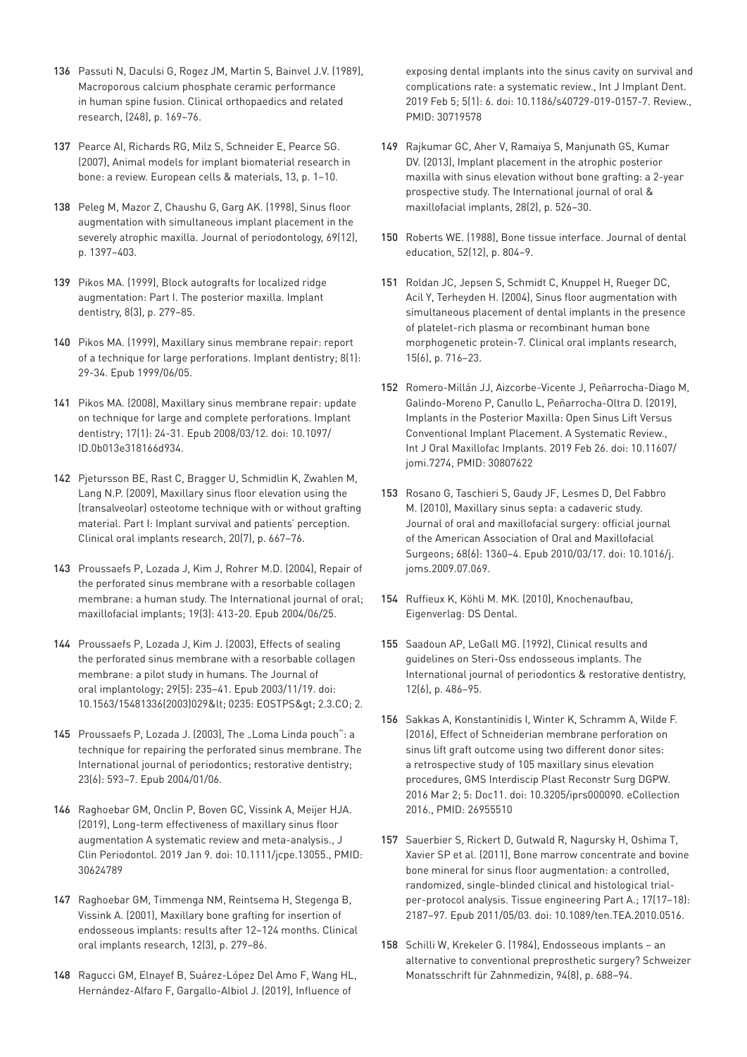- 136 [Passuti N, Daculsi G, Rogez JM, Martin S, Bainvel J.V. \(1989\),](https://www.ncbi.nlm.nih.gov/pubmed/2805476)  [Macroporous calcium phosphate ceramic performance](https://www.ncbi.nlm.nih.gov/pubmed/2805476)  [in human spine fusion. Clinical orthopaedics and related](https://www.ncbi.nlm.nih.gov/pubmed/2805476)  [research, \(248\), p. 169–76.](https://www.ncbi.nlm.nih.gov/pubmed/2805476)
- 137 [Pearce AI, Richards RG, Milz S, Schneider E, Pearce SG.](https://www.ncbi.nlm.nih.gov/pubmed/17334975)  [\(2007\), Animal models for implant biomaterial research in](https://www.ncbi.nlm.nih.gov/pubmed/17334975)  [bone: a review. European cells & materials, 13, p. 1–10.](https://www.ncbi.nlm.nih.gov/pubmed/17334975)
- 138 [Peleg M, Mazor Z, Chaushu G, Garg AK. \(1998\), Sinus floor](https://www.ncbi.nlm.nih.gov/pubmed/9926770)  [augmentation with simultaneous implant placement in the](https://www.ncbi.nlm.nih.gov/pubmed/9926770)  [severely atrophic maxilla. Journal of periodontology, 69\(12\),](https://www.ncbi.nlm.nih.gov/pubmed/9926770)  [p. 1397–403.](https://www.ncbi.nlm.nih.gov/pubmed/9926770)
- 139 [Pikos MA. \(1999\), Block autografts for localized ridge](https://www.ncbi.nlm.nih.gov/pubmed/10709474)  [augmentation: Part I. The posterior maxilla. Implant](https://www.ncbi.nlm.nih.gov/pubmed/10709474)  [dentistry, 8\(3\), p. 279–85.](https://www.ncbi.nlm.nih.gov/pubmed/10709474)
- 140 [Pikos MA. \(1999\), Maxillary sinus membrane repair: report](https://www.ncbi.nlm.nih.gov/pubmed/?term=10356454)  [of a technique for large perforations. Implant dentistry; 8\(1\):](https://www.ncbi.nlm.nih.gov/pubmed/?term=10356454)  [29-34. Epub 1999/06/05.](https://www.ncbi.nlm.nih.gov/pubmed/?term=10356454)
- 141 [Pikos MA. \(2008\), Maxillary sinus membrane repair: update](https://www.ncbi.nlm.nih.gov/pubmed/?term=18332755)  [on technique for large and complete perforations. Implant](https://www.ncbi.nlm.nih.gov/pubmed/?term=18332755)  [dentistry; 17\(1\): 24-31. Epub 2008/03/12. doi: 10.1097/](https://www.ncbi.nlm.nih.gov/pubmed/?term=18332755) [ID.0b013e318166d934.](https://www.ncbi.nlm.nih.gov/pubmed/?term=18332755)
- 142 Pjetursson BE, Rast C, Bragger U, Schmidlin K, Zwahlen M, Lang N.P. (2009), Maxillary sinus floor elevation using the (transalveolar) osteotome technique with or without grafting material. Part I: Implant survival and patients' perception. Clinical oral implants research, 20(7), p. 667–76.
- 143 [Proussaefs P, Lozada J, Kim J, Rohrer M.D. \(2004\), Repair of](https://www.ncbi.nlm.nih.gov/pubmed/?term=15214227)  [the perforated sinus membrane with a resorbable collagen](https://www.ncbi.nlm.nih.gov/pubmed/?term=15214227)  [membrane: a human study. The International journal of oral;](https://www.ncbi.nlm.nih.gov/pubmed/?term=15214227)  [maxillofacial implants; 19\(3\): 413-20. Epub 2004/06/25.](https://www.ncbi.nlm.nih.gov/pubmed/?term=15214227)
- 144 [Proussaefs P, Lozada J, Kim J. \(2003\), Effects of sealing](https://www.ncbi.nlm.nih.gov/pubmed/?term=14620686)  [the perforated sinus membrane with a resorbable collagen](https://www.ncbi.nlm.nih.gov/pubmed/?term=14620686)  [membrane: a pilot study in humans. The Journal of](https://www.ncbi.nlm.nih.gov/pubmed/?term=14620686)  [oral implantology; 29\(5\): 235–41. Epub 2003/11/19. doi:](https://www.ncbi.nlm.nih.gov/pubmed/?term=14620686)  10.1563/15481336(2003)029< 0235: EOSTPS&qt; 2.3.CO; 2.
- 145 Proussaefs P, Lozada J. (2003), The "Loma Linda pouch": a [technique for repairing the perforated sinus membrane. The](https://www.ncbi.nlm.nih.gov/pubmed/?term=14703763)  [International journal of periodontics; restorative dentistry;](https://www.ncbi.nlm.nih.gov/pubmed/?term=14703763)  [23\(6\): 593–7. Epub 2004/01/06.](https://www.ncbi.nlm.nih.gov/pubmed/?term=14703763)
- 146 [Raghoebar GM, Onclin P, Boven GC, Vissink A, Meijer HJA.](https://www.ncbi.nlm.nih.gov/pubmed/30624789)  [\(2019\), Long-term effectiveness of maxillary sinus floor](https://www.ncbi.nlm.nih.gov/pubmed/30624789)  [augmentation A systematic review and meta-analysis., J](https://www.ncbi.nlm.nih.gov/pubmed/30624789)  [Clin Periodontol. 2019 Jan 9. doi: 10.1111/jcpe.13055., PMID:](https://www.ncbi.nlm.nih.gov/pubmed/30624789)  [30624789](https://www.ncbi.nlm.nih.gov/pubmed/30624789)
- 147 [Raghoebar GM, Timmenga NM, Reintsema H, Stegenga B,](https://www.ncbi.nlm.nih.gov/pubmed/11359486)  [Vissink A. \(2001\), Maxillary bone grafting for insertion of](https://www.ncbi.nlm.nih.gov/pubmed/11359486)  [endosseous implants: results after 12–124 months. Clinical](https://www.ncbi.nlm.nih.gov/pubmed/11359486)  [oral implants research, 12\(3\), p. 279–86.](https://www.ncbi.nlm.nih.gov/pubmed/11359486)
- 148 [Ragucci GM, Elnayef B, Suárez-López Del Amo F, Wang HL,](https://www.ncbi.nlm.nih.gov/pubmed/?term=30719578)  [Hernández-Alfaro F, Gargallo-Albiol J. \(2019\), Influence of](https://www.ncbi.nlm.nih.gov/pubmed/?term=30719578)

[exposing dental implants into the sinus cavity on survival and](https://www.ncbi.nlm.nih.gov/pubmed/?term=30719578)  [complications rate: a systematic review., Int J Implant Dent.](https://www.ncbi.nlm.nih.gov/pubmed/?term=30719578)  [2019 Feb 5; 5\(1\): 6. doi: 10.1186/s40729-019-0157-7. Review.,](https://www.ncbi.nlm.nih.gov/pubmed/?term=30719578)  [PMID: 30719578](https://www.ncbi.nlm.nih.gov/pubmed/?term=30719578)

- 149 [Rajkumar GC, Aher V, Ramaiya S, Manjunath GS, Kumar](https://www.ncbi.nlm.nih.gov/pubmed/23527355)  [DV. \(2013\), Implant placement in the atrophic posterior](https://www.ncbi.nlm.nih.gov/pubmed/23527355)  [maxilla with sinus elevation without bone grafting: a 2-year](https://www.ncbi.nlm.nih.gov/pubmed/23527355)  [prospective study. The International journal of oral &](https://www.ncbi.nlm.nih.gov/pubmed/23527355)  [maxillofacial implants, 28\(2\), p. 526–30.](https://www.ncbi.nlm.nih.gov/pubmed/23527355)
- 150 [Roberts WE. \(1988\), Bone tissue interface. Journal of dental](https://www.ncbi.nlm.nih.gov/pubmed/3057027)  [education, 52\(12\), p. 804–9.](https://www.ncbi.nlm.nih.gov/pubmed/3057027)
- 151 [Roldan JC, Jepsen S, Schmidt C, Knuppel H, Rueger DC,](https://www.ncbi.nlm.nih.gov/pubmed/15533133)  [Acil Y, Terheyden H. \(2004\), Sinus floor augmentation with](https://www.ncbi.nlm.nih.gov/pubmed/15533133)  [simultaneous placement of dental implants in the presence](https://www.ncbi.nlm.nih.gov/pubmed/15533133)  [of platelet-rich plasma or recombinant human bone](https://www.ncbi.nlm.nih.gov/pubmed/15533133)  [morphogenetic protein-7. Clinical oral implants research,](https://www.ncbi.nlm.nih.gov/pubmed/15533133)  [15\(6\), p. 716–23.](https://www.ncbi.nlm.nih.gov/pubmed/15533133)
- 152 [Romero-Millán JJ, Aizcorbe-Vicente J, Peñarrocha-Diago M,](https://www.ncbi.nlm.nih.gov/pubmed/?term=30807622)  [Galindo-Moreno P, Canullo L, Peñarrocha-Oltra D. \(2019\),](https://www.ncbi.nlm.nih.gov/pubmed/?term=30807622)  [Implants in the Posterior Maxilla: Open Sinus Lift Versus](https://www.ncbi.nlm.nih.gov/pubmed/?term=30807622)  [Conventional Implant Placement. A Systematic Review.,](https://www.ncbi.nlm.nih.gov/pubmed/?term=30807622)  [Int J Oral Maxillofac Implants. 2019 Feb 26. doi: 10.11607/](https://www.ncbi.nlm.nih.gov/pubmed/?term=30807622) [jomi.7274, PMID: 30807622](https://www.ncbi.nlm.nih.gov/pubmed/?term=30807622)
- 153 [Rosano G, Taschieri S, Gaudy JF, Lesmes D, Del Fabbro](https://www.ncbi.nlm.nih.gov/pubmed/?term=20231050)  [M. \(2010\), Maxillary sinus septa: a cadaveric study.](https://www.ncbi.nlm.nih.gov/pubmed/?term=20231050)  [Journal of oral and maxillofacial surgery: official journal](https://www.ncbi.nlm.nih.gov/pubmed/?term=20231050)  [of the American Association of Oral and Maxillofacial](https://www.ncbi.nlm.nih.gov/pubmed/?term=20231050)  [Surgeons; 68\(6\): 1360–4. Epub 2010/03/17. doi: 10.1016/j.](https://www.ncbi.nlm.nih.gov/pubmed/?term=20231050) [joms.2009.07.069.](https://www.ncbi.nlm.nih.gov/pubmed/?term=20231050)
- 154 [Ruffieux K, Köhli M. MK. \(2010\), Knochenaufbau,](https://www.implantis.eu/knochenaufbau-easy-graft-1731.html)  [Eigenverlag: DS Dental.](https://www.implantis.eu/knochenaufbau-easy-graft-1731.html)
- 155 [Saadoun AP, LeGall MG. \(1992\), Clinical results and](https://www.ncbi.nlm.nih.gov/pubmed/9051940)  [guidelines on Steri-Oss endosseous implants. The](https://www.ncbi.nlm.nih.gov/pubmed/9051940)  [International journal of periodontics & restorative dentistry,](https://www.ncbi.nlm.nih.gov/pubmed/9051940)  [12\(6\), p. 486–95.](https://www.ncbi.nlm.nih.gov/pubmed/9051940)
- 156 [Sakkas A, Konstantinidis I, Winter K, Schramm A, Wilde F.](https://www.ncbi.nlm.nih.gov/pubmed/?term=26955510)  [\(2016\), Effect of Schneiderian membrane perforation on](https://www.ncbi.nlm.nih.gov/pubmed/?term=26955510)  [sinus lift graft outcome using two different donor sites:](https://www.ncbi.nlm.nih.gov/pubmed/?term=26955510)  [a retrospective study of 105 maxillary sinus elevation](https://www.ncbi.nlm.nih.gov/pubmed/?term=26955510)  [procedures, GMS Interdiscip Plast Reconstr Surg DGPW.](https://www.ncbi.nlm.nih.gov/pubmed/?term=26955510)  [2016 Mar 2; 5: Doc11. doi: 10.3205/iprs000090. eCollection](https://www.ncbi.nlm.nih.gov/pubmed/?term=26955510)  [2016., PMID: 26955510](https://www.ncbi.nlm.nih.gov/pubmed/?term=26955510)
- 157 [Sauerbier S, Rickert D, Gutwald R, Nagursky H, Oshima T,](https://www.ncbi.nlm.nih.gov/pubmed/?term=21529247)  [Xavier SP et al. \(2011\), Bone marrow concentrate and bovine](https://www.ncbi.nlm.nih.gov/pubmed/?term=21529247)  [bone mineral for sinus floor augmentation: a controlled,](https://www.ncbi.nlm.nih.gov/pubmed/?term=21529247)  [randomized, single-blinded clinical and histological trial](https://www.ncbi.nlm.nih.gov/pubmed/?term=21529247)[per-protocol analysis. Tissue engineering Part A.; 17\(17–18\):](https://www.ncbi.nlm.nih.gov/pubmed/?term=21529247)  [2187–97. Epub 2011/05/03. doi: 10.1089/ten.TEA.2010.0516.](https://www.ncbi.nlm.nih.gov/pubmed/?term=21529247)
- 158 [Schilli W, Krekeler G. \(1984\), Endosseous implants an](https://www.ncbi.nlm.nih.gov/pubmed/6592756)  [alternative to conventional preprosthetic surgery? Schweizer](https://www.ncbi.nlm.nih.gov/pubmed/6592756)  [Monatsschrift für Zahnmedizin, 94\(8\), p. 688–94.](https://www.ncbi.nlm.nih.gov/pubmed/6592756)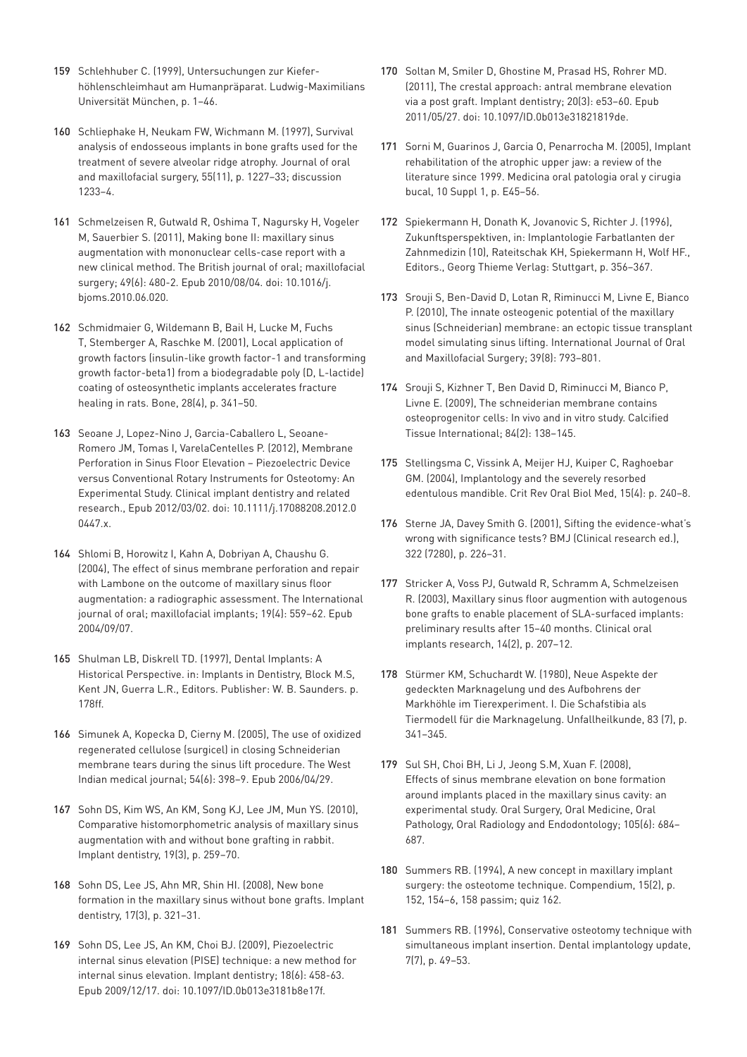- 159 Schlehhuber C. (1999), Untersuchungen zur Kieferhöhlenschleimhaut am Humanpräparat. Ludwig-Maximilians Universität München, p. 1–46.
- 160 [Schliephake H, Neukam FW, Wichmann M. \(1997\), Survival](https://www.ncbi.nlm.nih.gov/pubmed/9371112)  [analysis of endosseous implants in bone grafts used for the](https://www.ncbi.nlm.nih.gov/pubmed/9371112)  [treatment of severe alveolar ridge atrophy. Journal of oral](https://www.ncbi.nlm.nih.gov/pubmed/9371112)  [and maxillofacial surgery, 55\(11\), p. 1227–33; discussion](https://www.ncbi.nlm.nih.gov/pubmed/9371112)  [1233–4.](https://www.ncbi.nlm.nih.gov/pubmed/9371112)
- 161 [Schmelzeisen R, Gutwald R, Oshima T, Nagursky H, Vogeler](https://www.ncbi.nlm.nih.gov/pubmed/?term=20678831)  [M, Sauerbier S. \(2011\), Making bone II: maxillary sinus](https://www.ncbi.nlm.nih.gov/pubmed/?term=20678831)  [augmentation with mononuclear cells-case report with a](https://www.ncbi.nlm.nih.gov/pubmed/?term=20678831)  [new clinical method. The British journal of oral; maxillofacial](https://www.ncbi.nlm.nih.gov/pubmed/?term=20678831)  [surgery; 49\(6\): 480-2. Epub 2010/08/04. doi: 10.1016/j.](https://www.ncbi.nlm.nih.gov/pubmed/?term=20678831) [bjoms.2010.06.020.](https://www.ncbi.nlm.nih.gov/pubmed/?term=20678831)
- 162 [Schmidmaier G, Wildemann B, Bail H, Lucke M, Fuchs](https://www.ncbi.nlm.nih.gov/pubmed/11336914)  [T, Stemberger A, Raschke M. \(2001\), Local application of](https://www.ncbi.nlm.nih.gov/pubmed/11336914)  [growth factors \(insulin-like growth factor-1 and transforming](https://www.ncbi.nlm.nih.gov/pubmed/11336914)  [growth factor-beta1\) from a biodegradable poly \(D, L-lactide\)](https://www.ncbi.nlm.nih.gov/pubmed/11336914)  [coating of osteosynthetic implants accelerates fracture](https://www.ncbi.nlm.nih.gov/pubmed/11336914)  [healing in rats. Bone, 28\(4\), p. 341–50.](https://www.ncbi.nlm.nih.gov/pubmed/11336914)
- 163 [Seoane J, Lopez-Nino J, Garcia-Caballero L, Seoane-](https://www.ncbi.nlm.nih.gov/pubmed/?term=22376212)[Romero JM, Tomas I, VarelaCentelles P. \(2012\), Membrane](https://www.ncbi.nlm.nih.gov/pubmed/?term=22376212)  [Perforation in Sinus Floor Elevation – Piezoelectric Device](https://www.ncbi.nlm.nih.gov/pubmed/?term=22376212)  [versus Conventional Rotary Instruments for Osteotomy: An](https://www.ncbi.nlm.nih.gov/pubmed/?term=22376212)  [Experimental Study. Clinical implant dentistry and related](https://www.ncbi.nlm.nih.gov/pubmed/?term=22376212)  [research., Epub 2012/03/02. doi: 10.1111/j.17088208.2012.0](https://www.ncbi.nlm.nih.gov/pubmed/?term=22376212) [0447.x.](https://www.ncbi.nlm.nih.gov/pubmed/?term=22376212)
- 164 [Shlomi B, Horowitz I, Kahn A, Dobriyan A, Chaushu G.](https://www.ncbi.nlm.nih.gov/pubmed/?term=15346754)  [\(2004\), The effect of sinus membrane perforation and repair](https://www.ncbi.nlm.nih.gov/pubmed/?term=15346754)  [with Lambone on the outcome of maxillary sinus floor](https://www.ncbi.nlm.nih.gov/pubmed/?term=15346754)  [augmentation: a radiographic assessment. The International](https://www.ncbi.nlm.nih.gov/pubmed/?term=15346754)  [journal of oral; maxillofacial implants; 19\(4\): 559–62. Epub](https://www.ncbi.nlm.nih.gov/pubmed/?term=15346754)  [2004/09/07.](https://www.ncbi.nlm.nih.gov/pubmed/?term=15346754)
- 165 [Shulman LB, Diskrell TD. \(1997\), Dental Implants: A](https://books.google.de/books?id=bb68wb0R_EAC&pg=PA457&lpg=PA457&dq=Shulman+LB,+Diskrell+TD.+(1997),+Dental+Implants:+A+Historical+Perspective.+in:+Implants+in+Dentistry&source=bl&ots=TC6K5EDFFN&sig=ACfU3U1Nf4Kehy8XMmVlAnWxqRrZUYDIfw&hl=de&sa=X&ved=2ahUKEwi0hs7W3vDjAhUOKFAKHWbZAccQ6AEwAXoECAkQAQ#v=onepage&q=Shulman%20LB%2C%20Diskrell%20TD.%20(1997)%2C%20Dental%20Implants%3A%20A%20Historical%20Perspective.%20in%3A%20Implants%20in%20Dentistry&f=false)  [Historical Perspective. in: Implants in Dentistry, Block M.S,](https://books.google.de/books?id=bb68wb0R_EAC&pg=PA457&lpg=PA457&dq=Shulman+LB,+Diskrell+TD.+(1997),+Dental+Implants:+A+Historical+Perspective.+in:+Implants+in+Dentistry&source=bl&ots=TC6K5EDFFN&sig=ACfU3U1Nf4Kehy8XMmVlAnWxqRrZUYDIfw&hl=de&sa=X&ved=2ahUKEwi0hs7W3vDjAhUOKFAKHWbZAccQ6AEwAXoECAkQAQ#v=onepage&q=Shulman%20LB%2C%20Diskrell%20TD.%20(1997)%2C%20Dental%20Implants%3A%20A%20Historical%20Perspective.%20in%3A%20Implants%20in%20Dentistry&f=false)  [Kent JN, Guerra L.R., Editors. Publisher: W. B. Saunders. p.](https://books.google.de/books?id=bb68wb0R_EAC&pg=PA457&lpg=PA457&dq=Shulman+LB,+Diskrell+TD.+(1997),+Dental+Implants:+A+Historical+Perspective.+in:+Implants+in+Dentistry&source=bl&ots=TC6K5EDFFN&sig=ACfU3U1Nf4Kehy8XMmVlAnWxqRrZUYDIfw&hl=de&sa=X&ved=2ahUKEwi0hs7W3vDjAhUOKFAKHWbZAccQ6AEwAXoECAkQAQ#v=onepage&q=Shulman%20LB%2C%20Diskrell%20TD.%20(1997)%2C%20Dental%20Implants%3A%20A%20Historical%20Perspective.%20in%3A%20Implants%20in%20Dentistry&f=false)  [178ff.](https://books.google.de/books?id=bb68wb0R_EAC&pg=PA457&lpg=PA457&dq=Shulman+LB,+Diskrell+TD.+(1997),+Dental+Implants:+A+Historical+Perspective.+in:+Implants+in+Dentistry&source=bl&ots=TC6K5EDFFN&sig=ACfU3U1Nf4Kehy8XMmVlAnWxqRrZUYDIfw&hl=de&sa=X&ved=2ahUKEwi0hs7W3vDjAhUOKFAKHWbZAccQ6AEwAXoECAkQAQ#v=onepage&q=Shulman%20LB%2C%20Diskrell%20TD.%20(1997)%2C%20Dental%20Implants%3A%20A%20Historical%20Perspective.%20in%3A%20Implants%20in%20Dentistry&f=false)
- 166 [Simunek A, Kopecka D, Cierny M. \(2005\), The use of oxidized](https://www.ncbi.nlm.nih.gov/pubmed/16642660)  [regenerated cellulose \(surgicel\) in closing Schneiderian](https://www.ncbi.nlm.nih.gov/pubmed/16642660)  [membrane tears during the sinus lift procedure. The West](https://www.ncbi.nlm.nih.gov/pubmed/16642660)  [Indian medical journal; 54\(6\): 398–9. Epub 2006/04/29.](https://www.ncbi.nlm.nih.gov/pubmed/16642660)
- 167 [Sohn DS, Kim WS, An KM, Song KJ, Lee JM, Mun YS. \(2010\),](https://www.ncbi.nlm.nih.gov/pubmed/20523182)  [Comparative histomorphometric analysis of maxillary sinus](https://www.ncbi.nlm.nih.gov/pubmed/20523182)  [augmentation with and without bone grafting in rabbit.](https://www.ncbi.nlm.nih.gov/pubmed/20523182)  [Implant dentistry, 19\(3\), p. 259–70.](https://www.ncbi.nlm.nih.gov/pubmed/20523182)
- 168 [Sohn DS, Lee JS, Ahn MR, Shin HI. \(2008\), New bone](https://www.ncbi.nlm.nih.gov/pubmed/18784532)  [formation in the maxillary sinus without bone grafts. Implant](https://www.ncbi.nlm.nih.gov/pubmed/18784532)  [dentistry, 17\(3\), p. 321–31.](https://www.ncbi.nlm.nih.gov/pubmed/18784532)
- 169 [Sohn DS, Lee JS, An KM, Choi BJ. \(2009\), Piezoelectric](https://www.ncbi.nlm.nih.gov/pubmed/?term=20009598)  [internal sinus elevation \(PISE\) technique: a new method for](https://www.ncbi.nlm.nih.gov/pubmed/?term=20009598)  [internal sinus elevation. Implant dentistry; 18\(6\): 458-63.](https://www.ncbi.nlm.nih.gov/pubmed/?term=20009598)  [Epub 2009/12/17. doi: 10.1097/ID.0b013e3181b8e17f.](https://www.ncbi.nlm.nih.gov/pubmed/?term=20009598)
- 170 [Soltan M, Smiler D, Ghostine M, Prasad HS, Rohrer MD.](https://www.ncbi.nlm.nih.gov/pubmed/?term=21613942)  [\(2011\), The crestal approach: antral membrane elevation](https://www.ncbi.nlm.nih.gov/pubmed/?term=21613942)  [via a post graft. Implant dentistry; 20\(3\): e53–60. Epub](https://www.ncbi.nlm.nih.gov/pubmed/?term=21613942)  [2011/05/27. doi: 10.1097/ID.0b013e31821819de.](https://www.ncbi.nlm.nih.gov/pubmed/?term=21613942)
- 171 [Sorni M, Guarinos J, Garcia O, Penarrocha M. \(2005\), Implant](https://www.ncbi.nlm.nih.gov/pubmed/15800467)  [rehabilitation of the atrophic upper jaw: a review of the](https://www.ncbi.nlm.nih.gov/pubmed/15800467)  [literature since 1999. Medicina oral patologia oral y cirugia](https://www.ncbi.nlm.nih.gov/pubmed/15800467)  [bucal, 10 Suppl 1, p. E45–56.](https://www.ncbi.nlm.nih.gov/pubmed/15800467)
- 172 [Spiekermann H, Donath K, Jovanovic S, Richter J. \(1996\),](https://www.buecher.de/shop/operative-zahnheilkunde/implantologie-farbatlanten-der-zahnmedizin-bd-10/spiekermann-hubertus-donath-karl-jovanovic-/products_products/detail/prod_id/05183960/)  [Zukunftsperspektiven, in: Implantologie Farbatlanten der](https://www.buecher.de/shop/operative-zahnheilkunde/implantologie-farbatlanten-der-zahnmedizin-bd-10/spiekermann-hubertus-donath-karl-jovanovic-/products_products/detail/prod_id/05183960/)  [Zahnmedizin \(10\), Rateitschak KH, Spiekermann H, Wolf HF.,](https://www.buecher.de/shop/operative-zahnheilkunde/implantologie-farbatlanten-der-zahnmedizin-bd-10/spiekermann-hubertus-donath-karl-jovanovic-/products_products/detail/prod_id/05183960/)  [Editors., Georg Thieme Verlag: Stuttgart, p. 356–367.](https://www.buecher.de/shop/operative-zahnheilkunde/implantologie-farbatlanten-der-zahnmedizin-bd-10/spiekermann-hubertus-donath-karl-jovanovic-/products_products/detail/prod_id/05183960/)
- 173 [Srouji S, Ben-David D, Lotan R, Riminucci M, Livne E, Bianco](https://www.ncbi.nlm.nih.gov/pubmed/20417057)  [P. \(2010\), The innate osteogenic potential of the maxillary](https://www.ncbi.nlm.nih.gov/pubmed/20417057)  [sinus \(Schneiderian\) membrane: an ectopic tissue transplant](https://www.ncbi.nlm.nih.gov/pubmed/20417057)  [model simulating sinus lifting. International Journal of Oral](https://www.ncbi.nlm.nih.gov/pubmed/20417057)  [and Maxillofacial Surgery; 39\(8\): 793–801.](https://www.ncbi.nlm.nih.gov/pubmed/20417057)
- 174 [Srouji S, Kizhner T, Ben David D, Riminucci M, Bianco P,](https://www.ncbi.nlm.nih.gov/pubmed/19067018)  [Livne E. \(2009\), The schneiderian membrane contains](https://www.ncbi.nlm.nih.gov/pubmed/19067018)  [osteoprogenitor cells: In vivo and in vitro study. Calcified](https://www.ncbi.nlm.nih.gov/pubmed/19067018)  [Tissue International; 84\(2\): 138–145.](https://www.ncbi.nlm.nih.gov/pubmed/19067018)
- 175 [Stellingsma C, Vissink A, Meijer HJ, Kuiper C, Raghoebar](https://www.ncbi.nlm.nih.gov/pubmed/15284188)  [GM. \(2004\), Implantology and the severely resorbed](https://www.ncbi.nlm.nih.gov/pubmed/15284188)  [edentulous mandible. Crit Rev Oral Biol Med, 15\(4\): p. 240–8.](https://www.ncbi.nlm.nih.gov/pubmed/15284188)
- 176 [Sterne JA, Davey Smith G. \(2001\), Sifting the evidence-what's](https://www.ncbi.nlm.nih.gov/pubmed/11159626)  [wrong with significance tests? BMJ \(Clinical research ed.\),](https://www.ncbi.nlm.nih.gov/pubmed/11159626)  [322 \(7280\), p. 226–31.](https://www.ncbi.nlm.nih.gov/pubmed/11159626)
- 177 [Stricker A, Voss PJ, Gutwald R, Schramm A, Schmelzeisen](https://www.ncbi.nlm.nih.gov/pubmed/12656881)  [R. \(2003\), Maxillary sinus floor augmention with autogenous](https://www.ncbi.nlm.nih.gov/pubmed/12656881)  [bone grafts to enable placement of SLA-surfaced implants:](https://www.ncbi.nlm.nih.gov/pubmed/12656881)  [preliminary results after 15–40 months. Clinical oral](https://www.ncbi.nlm.nih.gov/pubmed/12656881)  [implants research, 14\(2\), p. 207–12.](https://www.ncbi.nlm.nih.gov/pubmed/12656881)
- 178 [Stürmer KM, Schuchardt W. \(1980\), Neue Aspekte der](https://books.google.de/books?id=7vl_BwAAQBAJ&pg=PA95&lpg=PA95&dq=St%C3%BCrmer+KM,+Schuchardt+W.+(1980),+Neue+Aspekte+der+gedeckten+Marknagelung+und+des+Aufbohrens+der+Markh%C3%B6hle+im+Tierexperiment&source=bl&ots=4TjAVDyDf_&sig=ACfU3U0gYD6SYziuN5CX3cG-8aMhrl1zcQ&hl=de&sa=X&ved=2ahUKEwiplbrIiofkAhXBy6QKHf8xBWY4ChDoATAAegQICRAB#v=onepage&q=St%C3%BCrmer%20KM%2C%20Schuchardt%20W.%20(1980)%2C%20Neue%20Aspekte%20der%20gedeckten%20Marknagelung%20und%20des%20Aufbohrens%20der%20Markh%C3%B6hle%20im%20Tierexperiment&f=false)  [gedeckten Marknagelung und des Aufbohrens der](https://books.google.de/books?id=7vl_BwAAQBAJ&pg=PA95&lpg=PA95&dq=St%C3%BCrmer+KM,+Schuchardt+W.+(1980),+Neue+Aspekte+der+gedeckten+Marknagelung+und+des+Aufbohrens+der+Markh%C3%B6hle+im+Tierexperiment&source=bl&ots=4TjAVDyDf_&sig=ACfU3U0gYD6SYziuN5CX3cG-8aMhrl1zcQ&hl=de&sa=X&ved=2ahUKEwiplbrIiofkAhXBy6QKHf8xBWY4ChDoATAAegQICRAB#v=onepage&q=St%C3%BCrmer%20KM%2C%20Schuchardt%20W.%20(1980)%2C%20Neue%20Aspekte%20der%20gedeckten%20Marknagelung%20und%20des%20Aufbohrens%20der%20Markh%C3%B6hle%20im%20Tierexperiment&f=false)  [Markhöhle im Tierexperiment. I. Die Schafstibia als](https://books.google.de/books?id=7vl_BwAAQBAJ&pg=PA95&lpg=PA95&dq=St%C3%BCrmer+KM,+Schuchardt+W.+(1980),+Neue+Aspekte+der+gedeckten+Marknagelung+und+des+Aufbohrens+der+Markh%C3%B6hle+im+Tierexperiment&source=bl&ots=4TjAVDyDf_&sig=ACfU3U0gYD6SYziuN5CX3cG-8aMhrl1zcQ&hl=de&sa=X&ved=2ahUKEwiplbrIiofkAhXBy6QKHf8xBWY4ChDoATAAegQICRAB#v=onepage&q=St%C3%BCrmer%20KM%2C%20Schuchardt%20W.%20(1980)%2C%20Neue%20Aspekte%20der%20gedeckten%20Marknagelung%20und%20des%20Aufbohrens%20der%20Markh%C3%B6hle%20im%20Tierexperiment&f=false)  [Tiermodell für die Marknagelung. Unfallheilkunde, 83 \(7\), p.](https://books.google.de/books?id=7vl_BwAAQBAJ&pg=PA95&lpg=PA95&dq=St%C3%BCrmer+KM,+Schuchardt+W.+(1980),+Neue+Aspekte+der+gedeckten+Marknagelung+und+des+Aufbohrens+der+Markh%C3%B6hle+im+Tierexperiment&source=bl&ots=4TjAVDyDf_&sig=ACfU3U0gYD6SYziuN5CX3cG-8aMhrl1zcQ&hl=de&sa=X&ved=2ahUKEwiplbrIiofkAhXBy6QKHf8xBWY4ChDoATAAegQICRAB#v=onepage&q=St%C3%BCrmer%20KM%2C%20Schuchardt%20W.%20(1980)%2C%20Neue%20Aspekte%20der%20gedeckten%20Marknagelung%20und%20des%20Aufbohrens%20der%20Markh%C3%B6hle%20im%20Tierexperiment&f=false)  [341–345.](https://books.google.de/books?id=7vl_BwAAQBAJ&pg=PA95&lpg=PA95&dq=St%C3%BCrmer+KM,+Schuchardt+W.+(1980),+Neue+Aspekte+der+gedeckten+Marknagelung+und+des+Aufbohrens+der+Markh%C3%B6hle+im+Tierexperiment&source=bl&ots=4TjAVDyDf_&sig=ACfU3U0gYD6SYziuN5CX3cG-8aMhrl1zcQ&hl=de&sa=X&ved=2ahUKEwiplbrIiofkAhXBy6QKHf8xBWY4ChDoATAAegQICRAB#v=onepage&q=St%C3%BCrmer%20KM%2C%20Schuchardt%20W.%20(1980)%2C%20Neue%20Aspekte%20der%20gedeckten%20Marknagelung%20und%20des%20Aufbohrens%20der%20Markh%C3%B6hle%20im%20Tierexperiment&f=false)
- 179 [Sul SH, Choi BH, Li J, Jeong S.M, Xuan F. \(2008\),](https://www.ncbi.nlm.nih.gov/pubmed/18299220)  [Effects of sinus membrane elevation on bone formation](https://www.ncbi.nlm.nih.gov/pubmed/18299220)  [around implants placed in the maxillary sinus cavity: an](https://www.ncbi.nlm.nih.gov/pubmed/18299220)  [experimental study. Oral Surgery, Oral Medicine, Oral](https://www.ncbi.nlm.nih.gov/pubmed/18299220)  [Pathology, Oral Radiology and Endodontology; 105\(6\): 684–](https://www.ncbi.nlm.nih.gov/pubmed/18299220) [687.](https://www.ncbi.nlm.nih.gov/pubmed/18299220)
- 180 [Summers RB. \(1994\), A new concept in maxillary implant](https://www.ncbi.nlm.nih.gov/pubmed/8055503)  [surgery: the osteotome technique. Compendium, 15\(2\), p.](https://www.ncbi.nlm.nih.gov/pubmed/8055503)  [152, 154–6, 158 passim; quiz 162.](https://www.ncbi.nlm.nih.gov/pubmed/8055503)
- 181 [Summers RB. \(1996\), Conservative osteotomy technique with](https://www.ncbi.nlm.nih.gov/pubmed/9525164)  [simultaneous implant insertion. Dental implantology update,](https://www.ncbi.nlm.nih.gov/pubmed/9525164)  [7\(7\), p. 49–53.](https://www.ncbi.nlm.nih.gov/pubmed/9525164)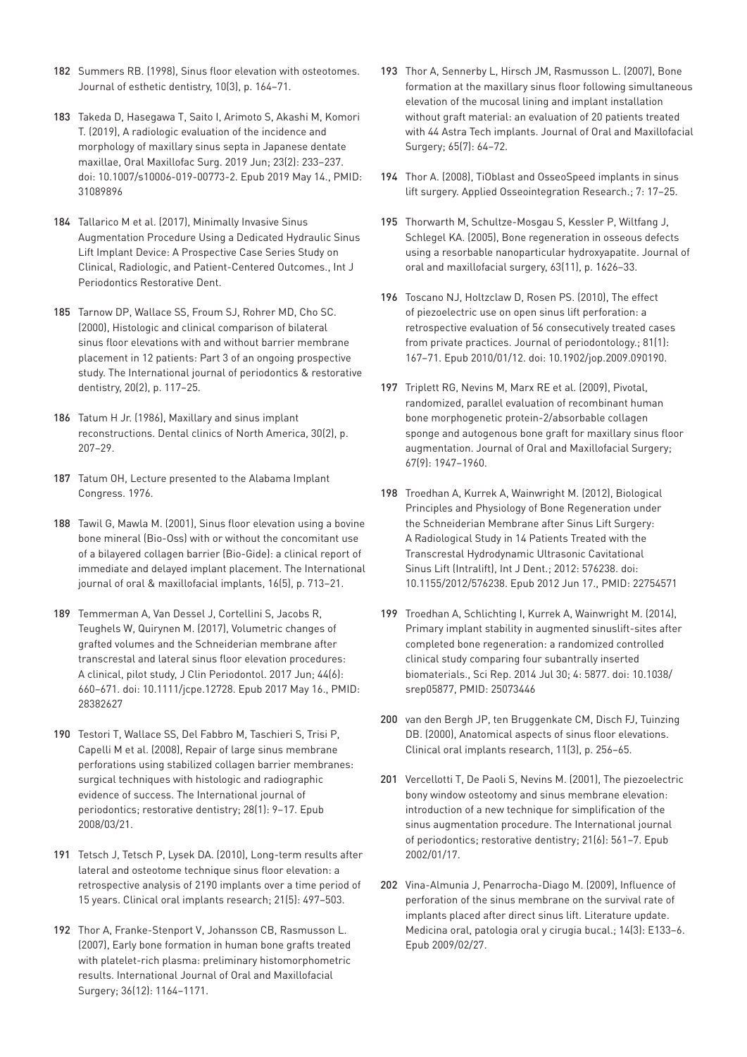- 182 [Summers RB. \(1998\), Sinus floor elevation with osteotomes.](https://www.ncbi.nlm.nih.gov/pubmed/9759033)  [Journal of esthetic dentistry, 10\(3\), p. 164–71.](https://www.ncbi.nlm.nih.gov/pubmed/9759033)
- 183 [Takeda D, Hasegawa T, Saito I, Arimoto S, Akashi M, Komori](https://www.ncbi.nlm.nih.gov/pubmed/31089896)  [T. \(2019\), A radiologic evaluation of the incidence and](https://www.ncbi.nlm.nih.gov/pubmed/31089896)  [morphology of maxillary sinus septa in Japanese dentate](https://www.ncbi.nlm.nih.gov/pubmed/31089896)  [maxillae, Oral Maxillofac Surg. 2019 Jun; 23\(2\): 233–237.](https://www.ncbi.nlm.nih.gov/pubmed/31089896)  [doi: 10.1007/s10006-019-00773-2. Epub 2019 May 14., PMID:](https://www.ncbi.nlm.nih.gov/pubmed/31089896)  [31089896](https://www.ncbi.nlm.nih.gov/pubmed/31089896)
- 184 [Tallarico M et al. \(2017\), Minimally Invasive Sinus](https://www.ncbi.nlm.nih.gov/pubmed/27977827)  [Augmentation Procedure Using a Dedicated Hydraulic Sinus](https://www.ncbi.nlm.nih.gov/pubmed/27977827)  [Lift Implant Device: A Prospective Case Series Study on](https://www.ncbi.nlm.nih.gov/pubmed/27977827)  [Clinical, Radiologic, and Patient-Centered Outcomes., Int J](https://www.ncbi.nlm.nih.gov/pubmed/27977827)  [Periodontics Restorative Dent.](https://www.ncbi.nlm.nih.gov/pubmed/27977827)
- 185 [Tarnow DP, Wallace SS, Froum SJ, Rohrer MD, Cho SC.](https://www.ncbi.nlm.nih.gov/pubmed/11203554)  [\(2000\), Histologic and clinical comparison of bilateral](https://www.ncbi.nlm.nih.gov/pubmed/11203554)  [sinus floor elevations with and without barrier membrane](https://www.ncbi.nlm.nih.gov/pubmed/11203554)  [placement in 12 patients: Part 3 of an ongoing prospective](https://www.ncbi.nlm.nih.gov/pubmed/11203554)  [study. The International journal of periodontics & restorative](https://www.ncbi.nlm.nih.gov/pubmed/11203554)  [dentistry, 20\(2\), p. 117–25.](https://www.ncbi.nlm.nih.gov/pubmed/11203554)
- 186 [Tatum H Jr. \(1986\), Maxillary and sinus implant](https://www.ncbi.nlm.nih.gov/pubmed/3516738)  [reconstructions. Dental clinics of North America, 30\(2\), p.](https://www.ncbi.nlm.nih.gov/pubmed/3516738)  [207–29.](https://www.ncbi.nlm.nih.gov/pubmed/3516738)
- 187 [Tatum OH, Lecture presented to the Alabama Implant](http://www.oalib.com/references/13540546)  [Congress. 1976.](http://www.oalib.com/references/13540546)
- 188 [Tawil G, Mawla M. \(2001\), Sinus floor elevation using a bovine](https://www.ncbi.nlm.nih.gov/pubmed/11669254)  [bone mineral \(Bio-Oss\) with or without the concomitant use](https://www.ncbi.nlm.nih.gov/pubmed/11669254)  [of a bilayered collagen barrier \(Bio-Gide\): a clinical report of](https://www.ncbi.nlm.nih.gov/pubmed/11669254)  [immediate and delayed implant placement. The International](https://www.ncbi.nlm.nih.gov/pubmed/11669254)  [journal of oral & maxillofacial implants, 16\(5\), p. 713–21.](https://www.ncbi.nlm.nih.gov/pubmed/11669254)
- 189 [Temmerman A, Van Dessel J, Cortellini S, Jacobs R,](https://www.ncbi.nlm.nih.gov/pubmed/?term=28382627)  [Teughels W, Quirynen M. \(2017\), Volumetric changes of](https://www.ncbi.nlm.nih.gov/pubmed/?term=28382627)  [grafted volumes and the Schneiderian membrane after](https://www.ncbi.nlm.nih.gov/pubmed/?term=28382627)  [transcrestal and lateral sinus floor elevation procedures:](https://www.ncbi.nlm.nih.gov/pubmed/?term=28382627)  [A clinical, pilot study, J Clin Periodontol. 2017 Jun; 44\(6\):](https://www.ncbi.nlm.nih.gov/pubmed/?term=28382627)  [660–671. doi: 10.1111/jcpe.12728. Epub 2017 May 16., PMID:](https://www.ncbi.nlm.nih.gov/pubmed/?term=28382627)  [28382627](https://www.ncbi.nlm.nih.gov/pubmed/?term=28382627)
- 190 [Testori T, Wallace SS, Del Fabbro M, Taschieri S, Trisi P,](https://www.ncbi.nlm.nih.gov/pubmed/18351198)  [Capelli M et al. \(2008\), Repair of large sinus membrane](https://www.ncbi.nlm.nih.gov/pubmed/18351198)  [perforations using stabilized collagen barrier membranes:](https://www.ncbi.nlm.nih.gov/pubmed/18351198)  [surgical techniques with histologic and radiographic](https://www.ncbi.nlm.nih.gov/pubmed/18351198)  [evidence of success. The International journal of](https://www.ncbi.nlm.nih.gov/pubmed/18351198)  [periodontics; restorative dentistry; 28\(1\): 9–17. Epub](https://www.ncbi.nlm.nih.gov/pubmed/18351198)  [2008/03/21.](https://www.ncbi.nlm.nih.gov/pubmed/18351198)
- 191 [Tetsch J, Tetsch P, Lysek DA. \(2010\), Long-term results after](https://www.ncbi.nlm.nih.gov/pubmed/20443802)  [lateral and osteotome technique sinus floor elevation: a](https://www.ncbi.nlm.nih.gov/pubmed/20443802)  [retrospective analysis of 2190 implants over a time period of](https://www.ncbi.nlm.nih.gov/pubmed/20443802)  [15 years. Clinical oral implants research; 21\(5\): 497–503.](https://www.ncbi.nlm.nih.gov/pubmed/20443802)
- 192 [Thor A, Franke-Stenport V, Johansson CB, Rasmusson L.](https://www.ncbi.nlm.nih.gov/pubmed/17855054)  [\(2007\), Early bone formation in human bone grafts treated](https://www.ncbi.nlm.nih.gov/pubmed/17855054)  [with platelet-rich plasma: preliminary histomorphometric](https://www.ncbi.nlm.nih.gov/pubmed/17855054)  [results. International Journal of Oral and Maxillofacial](https://www.ncbi.nlm.nih.gov/pubmed/17855054)  [Surgery; 36\(12\): 1164–1171.](https://www.ncbi.nlm.nih.gov/pubmed/17855054)
- 193 [Thor A, Sennerby L, Hirsch JM, Rasmusson L. \(2007\), Bone](https://www.ncbi.nlm.nih.gov/pubmed/17586351)  [formation at the maxillary sinus floor following simultaneous](https://www.ncbi.nlm.nih.gov/pubmed/17586351)  [elevation of the mucosal lining and implant installation](https://www.ncbi.nlm.nih.gov/pubmed/17586351)  [without graft material: an evaluation of 20 patients treated](https://www.ncbi.nlm.nih.gov/pubmed/17586351)  [with 44 Astra Tech implants. Journal of Oral and Maxillofacial](https://www.ncbi.nlm.nih.gov/pubmed/17586351)  [Surgery; 65\(7\): 64–72.](https://www.ncbi.nlm.nih.gov/pubmed/17586351)
- 194 [Thor A. \(2008\), TiOblast and OsseoSpeed implants in sinus](https://books.google.de/books?id=jXPjru6Te2AC&pg=PA404&lpg=PA404&dq=Thor+A.+(2008),+TiOblast+and+OsseoSpeed+implants+in+sinus+lift+surgery&source=bl&ots=muK69Fr3Rv&sig=ACfU3U3M29Z2Cc8V1WkHhfKcUXreEFl29w&hl=de&sa=X&ved=2ahUKEwiXjsvQhO7jAhXyxcQBHTsoC58Q6AEwAHoECAkQAQ#v=onepage&q=Thor%20A.%20(2008)%2C%20TiOblast%20and%20OsseoSpeed%20implants%20in%20sinus%20lift%20surgery&f=false)  [lift surgery. Applied Osseointegration Research.; 7: 17–25.](https://books.google.de/books?id=jXPjru6Te2AC&pg=PA404&lpg=PA404&dq=Thor+A.+(2008),+TiOblast+and+OsseoSpeed+implants+in+sinus+lift+surgery&source=bl&ots=muK69Fr3Rv&sig=ACfU3U3M29Z2Cc8V1WkHhfKcUXreEFl29w&hl=de&sa=X&ved=2ahUKEwiXjsvQhO7jAhXyxcQBHTsoC58Q6AEwAHoECAkQAQ#v=onepage&q=Thor%20A.%20(2008)%2C%20TiOblast%20and%20OsseoSpeed%20implants%20in%20sinus%20lift%20surgery&f=false)
- 195 [Thorwarth M, Schultze-Mosgau S, Kessler P, Wiltfang J,](https://www.ncbi.nlm.nih.gov/pubmed/16243180)  [Schlegel KA. \(2005\), Bone regeneration in osseous defects](https://www.ncbi.nlm.nih.gov/pubmed/16243180)  [using a resorbable nanoparticular hydroxyapatite. Journal of](https://www.ncbi.nlm.nih.gov/pubmed/16243180)  [oral and maxillofacial surgery, 63\(11\), p. 1626–33.](https://www.ncbi.nlm.nih.gov/pubmed/16243180)
- 196 [Toscano NJ, Holtzclaw D, Rosen PS. \(2010\), The effect](https://www.ncbi.nlm.nih.gov/pubmed/20059429)  [of piezoelectric use on open sinus lift perforation: a](https://www.ncbi.nlm.nih.gov/pubmed/20059429)  [retrospective evaluation of 56 consecutively treated cases](https://www.ncbi.nlm.nih.gov/pubmed/20059429)  [from private practices. Journal of periodontology.; 81\(1\):](https://www.ncbi.nlm.nih.gov/pubmed/20059429)  [167–71. Epub 2010/01/12. doi: 10.1902/jop.2009.090190.](https://www.ncbi.nlm.nih.gov/pubmed/20059429)
- 197 [Triplett RG, Nevins M, Marx RE et al. \(2009\), Pivotal,](https://www.ncbi.nlm.nih.gov/pubmed/19686934)  [randomized, parallel evaluation of recombinant human](https://www.ncbi.nlm.nih.gov/pubmed/19686934)  [bone morphogenetic protein-2/absorbable collagen](https://www.ncbi.nlm.nih.gov/pubmed/19686934)  [sponge and autogenous bone graft for maxillary sinus floor](https://www.ncbi.nlm.nih.gov/pubmed/19686934)  [augmentation. Journal of Oral and Maxillofacial Surgery;](https://www.ncbi.nlm.nih.gov/pubmed/19686934)  [67\(9\): 1947–1960.](https://www.ncbi.nlm.nih.gov/pubmed/19686934)
- 198 [Troedhan A, Kurrek A, Wainwright M. \(2012\), Biological](https://www.ncbi.nlm.nih.gov/pmc/articles/PMC3382962/)  [Principles and Physiology of Bone Regeneration under](https://www.ncbi.nlm.nih.gov/pmc/articles/PMC3382962/)  [the Schneiderian Membrane after Sinus Lift Surgery:](https://www.ncbi.nlm.nih.gov/pmc/articles/PMC3382962/)  [A Radiological Study in 14 Patients Treated with the](https://www.ncbi.nlm.nih.gov/pmc/articles/PMC3382962/)  [Transcrestal Hydrodynamic Ultrasonic Cavitational](https://www.ncbi.nlm.nih.gov/pmc/articles/PMC3382962/)  [Sinus Lift \(Intralift\), Int J Dent.; 2012: 576238. doi:](https://www.ncbi.nlm.nih.gov/pmc/articles/PMC3382962/)  [10.1155/2012/576238. Epub 2012 Jun 17., PMID: 22754571](https://www.ncbi.nlm.nih.gov/pmc/articles/PMC3382962/)
- 199 [Troedhan A, Schlichting I, Kurrek A, Wainwright M. \(2014\),](https://www.ncbi.nlm.nih.gov/pubmed/25073446)  [Primary implant stability in augmented sinuslift-sites after](https://www.ncbi.nlm.nih.gov/pubmed/25073446)  [completed bone regeneration: a randomized controlled](https://www.ncbi.nlm.nih.gov/pubmed/25073446)  [clinical study comparing four subantrally inserted](https://www.ncbi.nlm.nih.gov/pubmed/25073446)  [biomaterials., Sci Rep. 2014 Jul 30; 4: 5877. doi: 10.1038/](https://www.ncbi.nlm.nih.gov/pubmed/25073446) [srep05877, PMID: 25073446](https://www.ncbi.nlm.nih.gov/pubmed/25073446)
- 200 [van den Bergh JP, ten Bruggenkate CM, Disch FJ, Tuinzing](https://www.ncbi.nlm.nih.gov/pubmed/11168217)  [DB. \(2000\), Anatomical aspects of sinus floor elevations.](https://www.ncbi.nlm.nih.gov/pubmed/11168217)  [Clinical oral implants research, 11\(3\), p. 256–65.](https://www.ncbi.nlm.nih.gov/pubmed/11168217)
- 201 Vercellotti T, De Paoli S, Nevins M, (2001). The piezoelectric [bony window osteotomy and sinus membrane elevation:](https://www.ncbi.nlm.nih.gov/pubmed/11794567)  [introduction of a new technique for simplification of the](https://www.ncbi.nlm.nih.gov/pubmed/11794567)  [sinus augmentation procedure. The International journal](https://www.ncbi.nlm.nih.gov/pubmed/11794567)  [of periodontics; restorative dentistry; 21\(6\): 561–7. Epub](https://www.ncbi.nlm.nih.gov/pubmed/11794567)  [2002/01/17.](https://www.ncbi.nlm.nih.gov/pubmed/11794567)
- 202 [Vina-Almunia J, Penarrocha-Diago M. \(2009\), Influence of](https://www.ncbi.nlm.nih.gov/pubmed/19242393)  [perforation of the sinus membrane on the survival rate of](https://www.ncbi.nlm.nih.gov/pubmed/19242393)  [implants placed after direct sinus lift. Literature update.](https://www.ncbi.nlm.nih.gov/pubmed/19242393)  [Medicina oral, patologia oral y cirugia bucal.; 14\(3\): E133–6.](https://www.ncbi.nlm.nih.gov/pubmed/19242393)  [Epub 2009/02/27.](https://www.ncbi.nlm.nih.gov/pubmed/19242393)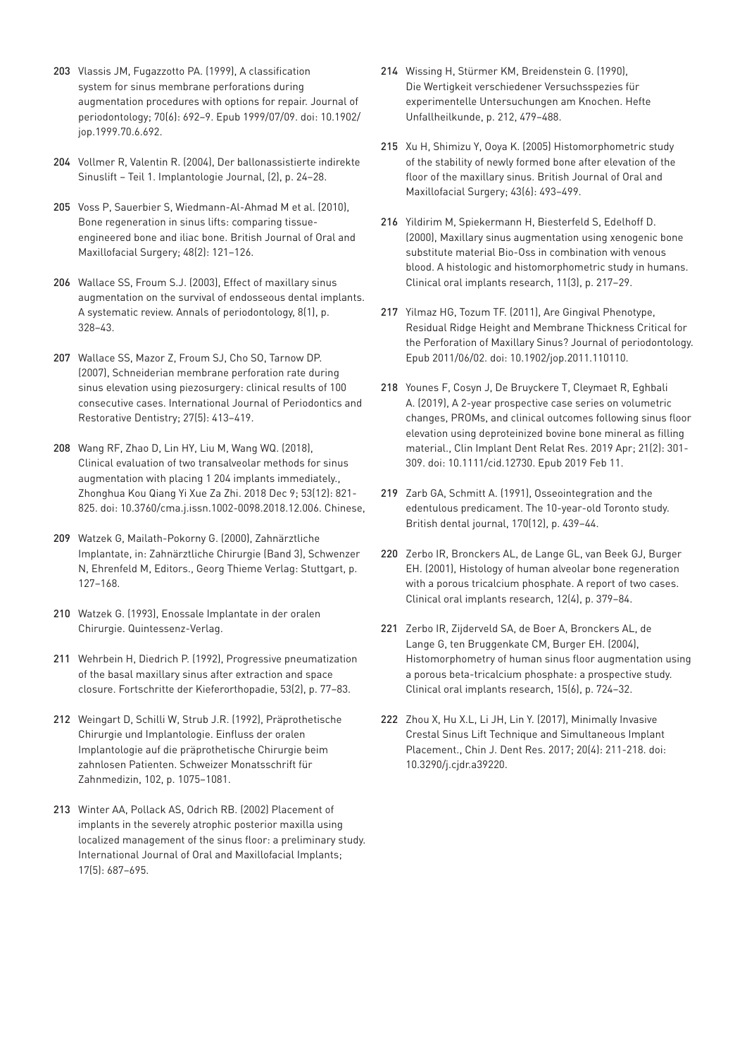- 203 [Vlassis JM, Fugazzotto PA. \(1999\), A classification](https://www.ncbi.nlm.nih.gov/pubmed/10397526)  [system for sinus membrane perforations during](https://www.ncbi.nlm.nih.gov/pubmed/10397526)  [augmentation procedures with options for repair. Journal of](https://www.ncbi.nlm.nih.gov/pubmed/10397526)  [periodontology; 70\(6\): 692–9. Epub 1999/07/09. doi: 10.1902/](https://www.ncbi.nlm.nih.gov/pubmed/10397526) [jop.1999.70.6.692.](https://www.ncbi.nlm.nih.gov/pubmed/10397526)
- 204 [Vollmer R, Valentin R. \(2004\), Der ballonassistierte indirekte](https://media.zwp-online.info/archiv/pub/sim/ij/2004/ij0204/ij0204_24_28_vollmer.pdf)  [Sinuslift – Teil 1. Implantologie Journal, \(2\), p. 24–28.](https://media.zwp-online.info/archiv/pub/sim/ij/2004/ij0204/ij0204_24_28_vollmer.pdf)
- 205 [Voss P, Sauerbier S, Wiedmann-Al-Ahmad M et al. \(2010\),](https://www.ncbi.nlm.nih.gov/pubmed/19487059)  [Bone regeneration in sinus lifts: comparing tissue](https://www.ncbi.nlm.nih.gov/pubmed/19487059)[engineered bone and iliac bone. British Journal of Oral and](https://www.ncbi.nlm.nih.gov/pubmed/19487059)  [Maxillofacial Surgery; 48\(2\): 121–126.](https://www.ncbi.nlm.nih.gov/pubmed/19487059)
- 206 [Wallace SS, Froum S.J. \(2003\), Effect of maxillary sinus](https://www.ncbi.nlm.nih.gov/pubmed/14971260)  [augmentation on the survival of endosseous dental implants.](https://www.ncbi.nlm.nih.gov/pubmed/14971260)  [A systematic review. Annals of periodontology, 8\(1\), p.](https://www.ncbi.nlm.nih.gov/pubmed/14971260)  [328–43.](https://www.ncbi.nlm.nih.gov/pubmed/14971260)
- 207 [Wallace SS, Mazor Z, Froum SJ, Cho SO, Tarnow DP.](https://www.ncbi.nlm.nih.gov/pubmed/17990437)  [\(2007\), Schneiderian membrane perforation rate during](https://www.ncbi.nlm.nih.gov/pubmed/17990437)  [sinus elevation using piezosurgery: clinical results of 100](https://www.ncbi.nlm.nih.gov/pubmed/17990437)  [consecutive cases. International Journal of Periodontics and](https://www.ncbi.nlm.nih.gov/pubmed/17990437)  [Restorative Dentistry; 27\(5\): 413–419.](https://www.ncbi.nlm.nih.gov/pubmed/17990437)
- 208 [Wang RF, Zhao D, Lin HY, Liu M, Wang WQ. \(2018\),](https://www.ncbi.nlm.nih.gov/pubmed/30522205)  [Clinical evaluation of two transalveolar methods for sinus](https://www.ncbi.nlm.nih.gov/pubmed/30522205)  [augmentation with placing 1 204 implants immediately.,](https://www.ncbi.nlm.nih.gov/pubmed/30522205)  [Zhonghua Kou Qiang Yi Xue Za Zhi. 2018 Dec 9; 53\(12\): 821-](https://www.ncbi.nlm.nih.gov/pubmed/30522205) [825. doi: 10.3760/cma.j.issn.1002-0098.2018.12.006. Chinese,](https://www.ncbi.nlm.nih.gov/pubmed/30522205)
- 209 Watzek G, Mailath-Pokorny G. (2000), Zahnärztliche Implantate, in: Zahnärztliche Chirurgie (Band 3), Schwenzer N, Ehrenfeld M, Editors., Georg Thieme Verlag: Stuttgart, p. 127–168.
- 210 [Watzek G. \(1993\), Enossale Implantate in der oralen](https://www.quintessenz.de/books.php?idp=29450)  [Chirurgie. Quintessenz-Verlag.](https://www.quintessenz.de/books.php?idp=29450)
- 211 [Wehrbein H, Diedrich P. \(1992\), Progressive pneumatization](https://www.ncbi.nlm.nih.gov/pubmed/1577348)  [of the basal maxillary sinus after extraction and space](https://www.ncbi.nlm.nih.gov/pubmed/1577348)  [closure. Fortschritte der Kieferorthopadie, 53\(2\), p. 77–83.](https://www.ncbi.nlm.nih.gov/pubmed/1577348)
- 212 Weingart D, Schilli W, Strub J.R. (1992), Präprothetische Chirurgie und Implantologie. Einfluss der oralen Implantologie auf die präprothetische Chirurgie beim zahnlosen Patienten. Schweizer Monatsschrift für Zahnmedizin, 102, p. 1075–1081.
- 213 [Winter AA, Pollack AS, Odrich RB. \(2002\) Placement of](https://www.ncbi.nlm.nih.gov/pubmed/12381069)  [implants in the severely atrophic posterior maxilla using](https://www.ncbi.nlm.nih.gov/pubmed/12381069)  [localized management of the sinus floor: a preliminary study.](https://www.ncbi.nlm.nih.gov/pubmed/12381069)  [International Journal of Oral and Maxillofacial Implants;](https://www.ncbi.nlm.nih.gov/pubmed/12381069)  [17\(5\): 687–695.](https://www.ncbi.nlm.nih.gov/pubmed/12381069)
- 214 Wissing H, Stürmer KM, Breidenstein G. (1990), Die Wertigkeit verschiedener Versuchsspezies für experimentelle Untersuchungen am Knochen. Hefte Unfallheilkunde, p. 212, 479–488.
- 215 [Xu H, Shimizu Y, Ooya K. \(2005\) Histomorphometric study](https://www.ncbi.nlm.nih.gov/pubmed/15908076)  [of the stability of newly formed bone after elevation of the](https://www.ncbi.nlm.nih.gov/pubmed/15908076)  [floor of the maxillary sinus. British Journal of Oral and](https://www.ncbi.nlm.nih.gov/pubmed/15908076)  [Maxillofacial Surgery; 43\(6\): 493–499.](https://www.ncbi.nlm.nih.gov/pubmed/15908076)
- 216 [Yildirim M, Spiekermann H, Biesterfeld S, Edelhoff D.](https://www.ncbi.nlm.nih.gov/pubmed/11168213)  [\(2000\), Maxillary sinus augmentation using xenogenic bone](https://www.ncbi.nlm.nih.gov/pubmed/11168213)  [substitute material Bio-Oss in combination with venous](https://www.ncbi.nlm.nih.gov/pubmed/11168213)  [blood. A histologic and histomorphometric study in humans.](https://www.ncbi.nlm.nih.gov/pubmed/11168213)  [Clinical oral implants research, 11\(3\), p. 217–29.](https://www.ncbi.nlm.nih.gov/pubmed/11168213)
- 217 [Yilmaz HG, Tozum TF. \(2011\), Are Gingival Phenotype,](https://www.ncbi.nlm.nih.gov/pubmed/21627460)  [Residual Ridge Height and Membrane Thickness Critical for](https://www.ncbi.nlm.nih.gov/pubmed/21627460)  [the Perforation of Maxillary Sinus? Journal of periodontology.](https://www.ncbi.nlm.nih.gov/pubmed/21627460)  [Epub 2011/06/02. doi: 10.1902/jop.2011.110110.](https://www.ncbi.nlm.nih.gov/pubmed/21627460)
- 218 [Younes F, Cosyn J, De Bruyckere T, Cleymaet R, Eghbali](https://www.ncbi.nlm.nih.gov/pubmed/30740863)  [A. \(2019\), A 2-year prospective case series on volumetric](https://www.ncbi.nlm.nih.gov/pubmed/30740863)  [changes, PROMs, and clinical outcomes following sinus floor](https://www.ncbi.nlm.nih.gov/pubmed/30740863)  [elevation using deproteinized bovine bone mineral as filling](https://www.ncbi.nlm.nih.gov/pubmed/30740863)  [material., Clin Implant Dent Relat Res. 2019 Apr; 21\(2\): 301-](https://www.ncbi.nlm.nih.gov/pubmed/30740863) [309. doi: 10.1111/cid.12730. Epub 2019 Feb 11.](https://www.ncbi.nlm.nih.gov/pubmed/30740863)
- 219 [Zarb GA, Schmitt A. \(1991\), Osseointegration and the](https://www.ncbi.nlm.nih.gov/pubmed/2069829)  [edentulous predicament. The 10-year-old Toronto study.](https://www.ncbi.nlm.nih.gov/pubmed/2069829)  [British dental journal, 170\(12\), p. 439–44.](https://www.ncbi.nlm.nih.gov/pubmed/2069829)
- 220 [Zerbo IR, Bronckers AL, de Lange GL, van Beek GJ, Burger](https://www.ncbi.nlm.nih.gov/pubmed/11488868)  [EH. \(2001\), Histology of human alveolar bone regeneration](https://www.ncbi.nlm.nih.gov/pubmed/11488868)  [with a porous tricalcium phosphate. A report of two cases.](https://www.ncbi.nlm.nih.gov/pubmed/11488868)  [Clinical oral implants research, 12\(4\), p. 379–84.](https://www.ncbi.nlm.nih.gov/pubmed/11488868)
- 221 [Zerbo IR, Zijderveld SA, de Boer A, Bronckers AL, de](https://www.ncbi.nlm.nih.gov/pubmed/15533134)  [Lange G, ten Bruggenkate CM, Burger EH. \(2004\),](https://www.ncbi.nlm.nih.gov/pubmed/15533134)  [Histomorphometry of human sinus floor augmentation using](https://www.ncbi.nlm.nih.gov/pubmed/15533134)  [a porous beta-tricalcium phosphate: a prospective study.](https://www.ncbi.nlm.nih.gov/pubmed/15533134)  [Clinical oral implants research, 15\(6\), p. 724–32.](https://www.ncbi.nlm.nih.gov/pubmed/15533134)
- 222 [Zhou X, Hu X.L, Li JH, Lin Y. \(2017\), Minimally Invasive](https://www.ncbi.nlm.nih.gov/pubmed/29181458)  [Crestal Sinus Lift Technique and Simultaneous Implant](https://www.ncbi.nlm.nih.gov/pubmed/29181458)  [Placement., Chin J. Dent Res. 2017; 20\(4\): 211-218. doi:](https://www.ncbi.nlm.nih.gov/pubmed/29181458)  [10.3290/j.cjdr.a39220.](https://www.ncbi.nlm.nih.gov/pubmed/29181458)